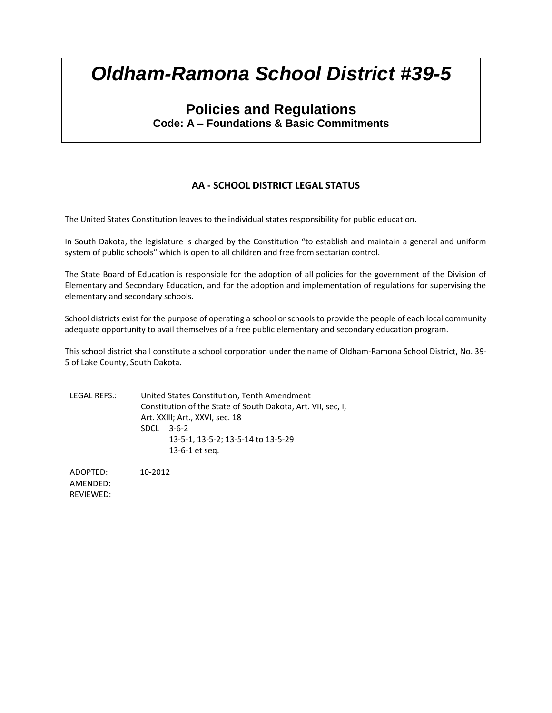## **Policies and Regulations Code: A – Foundations & Basic Commitments**

### **AA - SCHOOL DISTRICT LEGAL STATUS**

The United States Constitution leaves to the individual states responsibility for public education.

In South Dakota, the legislature is charged by the Constitution "to establish and maintain a general and uniform system of public schools" which is open to all children and free from sectarian control.

The State Board of Education is responsible for the adoption of all policies for the government of the Division of Elementary and Secondary Education, and for the adoption and implementation of regulations for supervising the elementary and secondary schools.

School districts exist for the purpose of operating a school or schools to provide the people of each local community adequate opportunity to avail themselves of a free public elementary and secondary education program.

This school district shall constitute a school corporation under the name of Oldham-Ramona School District, No. 39- 5 of Lake County, South Dakota.

LEGAL REFS.: United States Constitution, Tenth Amendment Constitution of the State of South Dakota, Art. VII, sec, I, Art. XXIII; Art., XXVI, sec. 18 SDCL 3-6-2 13-5-1, 13-5-2; 13-5-14 to 13-5-29 13-6-1 et seq.

ADOPTED: 10-2012 AMENDED: REVIEWED: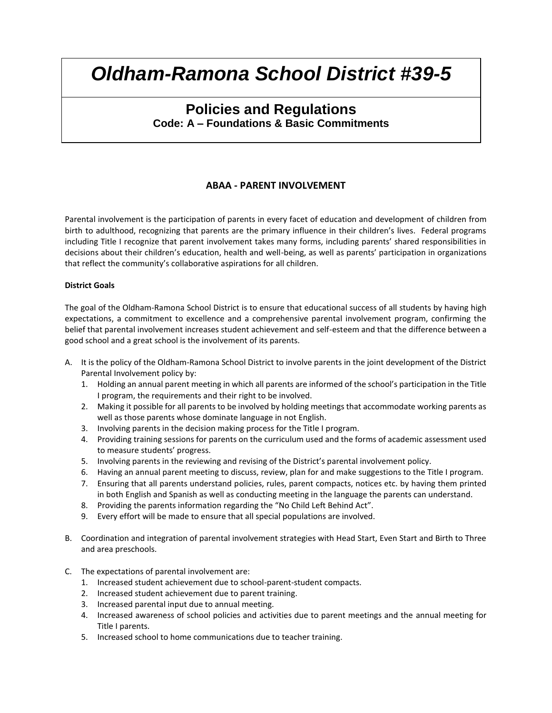## **Policies and Regulations Code: A – Foundations & Basic Commitments**

#### **ABAA - PARENT INVOLVEMENT**

Parental involvement is the participation of parents in every facet of education and development of children from birth to adulthood, recognizing that parents are the primary influence in their children's lives. Federal programs including Title I recognize that parent involvement takes many forms, including parents' shared responsibilities in decisions about their children's education, health and well-being, as well as parents' participation in organizations that reflect the community's collaborative aspirations for all children.

#### **District Goals**

The goal of the Oldham-Ramona School District is to ensure that educational success of all students by having high expectations, a commitment to excellence and a comprehensive parental involvement program, confirming the belief that parental involvement increases student achievement and self-esteem and that the difference between a good school and a great school is the involvement of its parents.

- A. It is the policy of the Oldham-Ramona School District to involve parents in the joint development of the District Parental Involvement policy by:
	- 1. Holding an annual parent meeting in which all parents are informed of the school's participation in the Title I program, the requirements and their right to be involved.
	- 2. Making it possible for all parents to be involved by holding meetings that accommodate working parents as well as those parents whose dominate language in not English.
	- 3. Involving parents in the decision making process for the Title I program.
	- 4. Providing training sessions for parents on the curriculum used and the forms of academic assessment used to measure students' progress.
	- 5. Involving parents in the reviewing and revising of the District's parental involvement policy.
	- 6. Having an annual parent meeting to discuss, review, plan for and make suggestions to the Title I program.
	- 7. Ensuring that all parents understand policies, rules, parent compacts, notices etc. by having them printed in both English and Spanish as well as conducting meeting in the language the parents can understand.
	- 8. Providing the parents information regarding the "No Child Left Behind Act".
	- 9. Every effort will be made to ensure that all special populations are involved.
- B. Coordination and integration of parental involvement strategies with Head Start, Even Start and Birth to Three and area preschools.
- C. The expectations of parental involvement are:
	- 1. Increased student achievement due to school-parent-student compacts.
	- 2. Increased student achievement due to parent training.
	- 3. Increased parental input due to annual meeting.
	- 4. Increased awareness of school policies and activities due to parent meetings and the annual meeting for Title I parents.
	- 5. Increased school to home communications due to teacher training.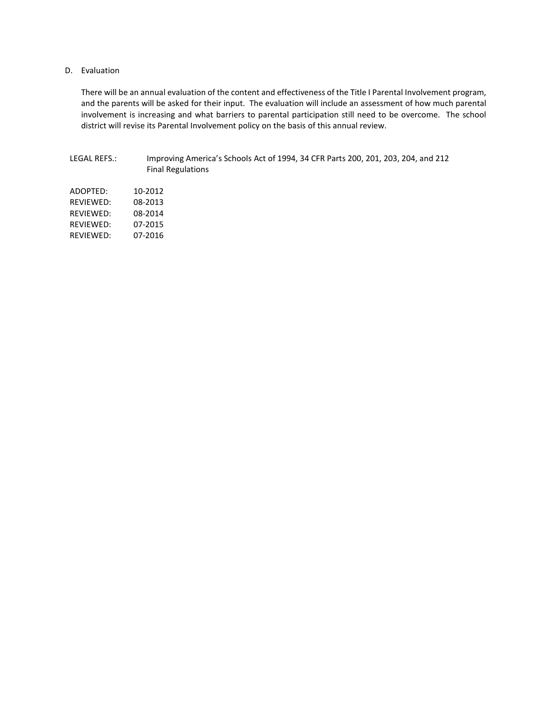#### D. Evaluation

There will be an annual evaluation of the content and effectiveness of the Title I Parental Involvement program, and the parents will be asked for their input. The evaluation will include an assessment of how much parental involvement is increasing and what barriers to parental participation still need to be overcome. The school district will revise its Parental Involvement policy on the basis of this annual review.

#### LEGAL REFS.: Improving America's Schools Act of 1994, 34 CFR Parts 200, 201, 203, 204, and 212 Final Regulations

| ADOPTED:  | 10-2012 |
|-----------|---------|
| RFVIFWFD: | 08-2013 |
| RFVIFWFD: | 08-2014 |
| RFVIFWFD: | 07-2015 |
| RFVIFWFD: | 07-2016 |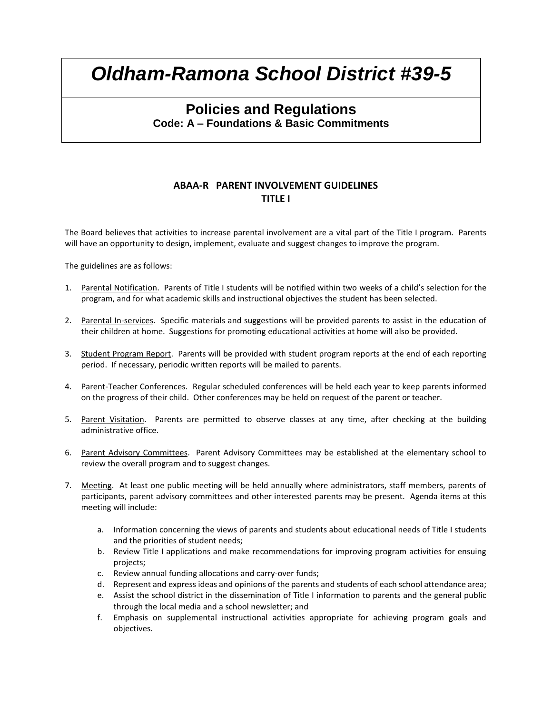## **Policies and Regulations Code: A – Foundations & Basic Commitments**

#### **ABAA-R PARENT INVOLVEMENT GUIDELINES TITLE I**

The Board believes that activities to increase parental involvement are a vital part of the Title I program. Parents will have an opportunity to design, implement, evaluate and suggest changes to improve the program.

The guidelines are as follows:

- 1. Parental Notification. Parents of Title I students will be notified within two weeks of a child's selection for the program, and for what academic skills and instructional objectives the student has been selected.
- 2. Parental In-services. Specific materials and suggestions will be provided parents to assist in the education of their children at home. Suggestions for promoting educational activities at home will also be provided.
- 3. Student Program Report. Parents will be provided with student program reports at the end of each reporting period. If necessary, periodic written reports will be mailed to parents.
- 4. Parent-Teacher Conferences. Regular scheduled conferences will be held each year to keep parents informed on the progress of their child. Other conferences may be held on request of the parent or teacher.
- 5. Parent Visitation. Parents are permitted to observe classes at any time, after checking at the building administrative office.
- 6. Parent Advisory Committees. Parent Advisory Committees may be established at the elementary school to review the overall program and to suggest changes.
- 7. Meeting. At least one public meeting will be held annually where administrators, staff members, parents of participants, parent advisory committees and other interested parents may be present. Agenda items at this meeting will include:
	- a. Information concerning the views of parents and students about educational needs of Title I students and the priorities of student needs;
	- b. Review Title I applications and make recommendations for improving program activities for ensuing projects;
	- c. Review annual funding allocations and carry-over funds;
	- d. Represent and express ideas and opinions of the parents and students of each school attendance area;
	- e. Assist the school district in the dissemination of Title I information to parents and the general public through the local media and a school newsletter; and
	- f. Emphasis on supplemental instructional activities appropriate for achieving program goals and objectives.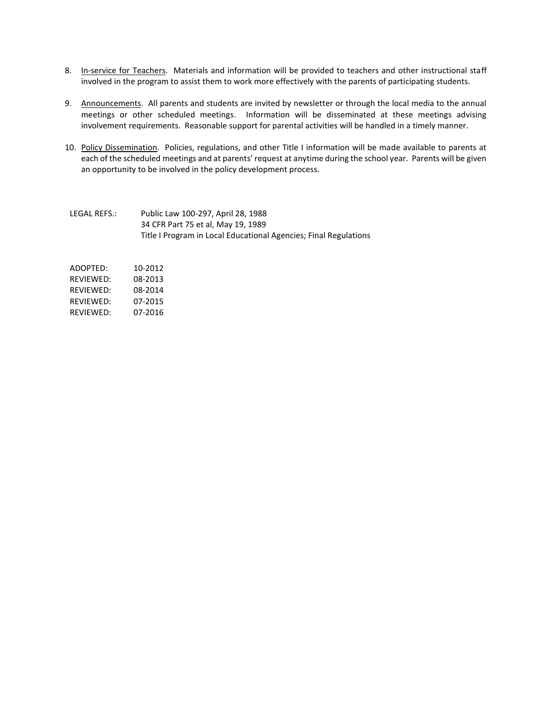- 8. In-service for Teachers. Materials and information will be provided to teachers and other instructional staff involved in the program to assist them to work more effectively with the parents of participating students.
- 9. Announcements. All parents and students are invited by newsletter or through the local media to the annual meetings or other scheduled meetings. Information will be disseminated at these meetings advising involvement requirements. Reasonable support for parental activities will be handled in a timely manner.
- 10. Policy Dissemination. Policies, regulations, and other Title I information will be made available to parents at each of the scheduled meetings and at parents' request at anytime during the school year. Parents will be given an opportunity to be involved in the policy development process.
- LEGAL REFS.: Public Law 100-297, April 28, 1988 34 CFR Part 75 et al, May 19, 1989 Title I Program in Local Educational Agencies; Final Regulations

| ADOPTFD:  | 10-2012 |
|-----------|---------|
| RFVIFWFD: | 08-2013 |
| RFVIFWFD: | 08-2014 |
| RFVIFWFD: | 07-2015 |
| RFVIFWFD: | 07-2016 |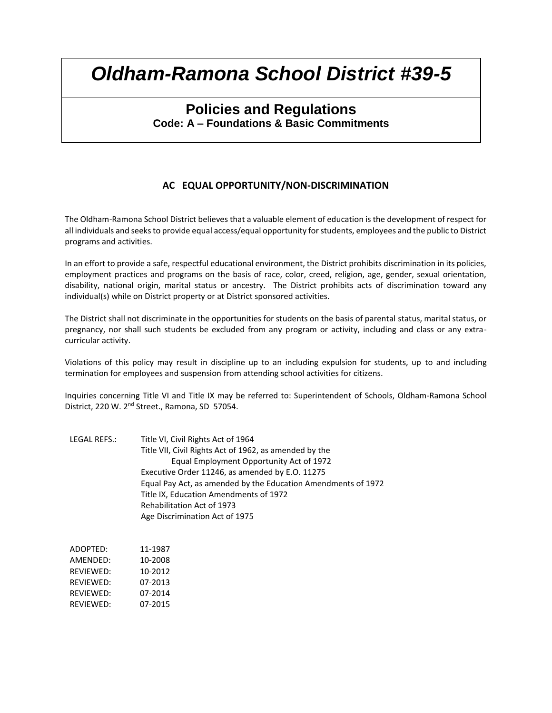## **Policies and Regulations Code: A – Foundations & Basic Commitments**

#### **AC EQUAL OPPORTUNITY/NON-DISCRIMINATION**

The Oldham-Ramona School District believes that a valuable element of education is the development of respect for all individuals and seeks to provide equal access/equal opportunity for students, employees and the public to District programs and activities.

In an effort to provide a safe, respectful educational environment, the District prohibits discrimination in its policies, employment practices and programs on the basis of race, color, creed, religion, age, gender, sexual orientation, disability, national origin, marital status or ancestry. The District prohibits acts of discrimination toward any individual(s) while on District property or at District sponsored activities.

The District shall not discriminate in the opportunities for students on the basis of parental status, marital status, or pregnancy, nor shall such students be excluded from any program or activity, including and class or any extracurricular activity.

Violations of this policy may result in discipline up to an including expulsion for students, up to and including termination for employees and suspension from attending school activities for citizens.

Inquiries concerning Title VI and Title IX may be referred to: Superintendent of Schools, Oldham-Ramona School District, 220 W. 2<sup>nd</sup> Street., Ramona, SD 57054.

LEGAL REFS.: Title VI, Civil Rights Act of 1964 Title VII, Civil Rights Act of 1962, as amended by the Equal Employment Opportunity Act of 1972 Executive Order 11246, as amended by E.O. 11275 Equal Pay Act, as amended by the Education Amendments of 1972 Title IX, Education Amendments of 1972 Rehabilitation Act of 1973 Age Discrimination Act of 1975

| ADOPTED:  | 11-1987 |
|-----------|---------|
| AMENDED:  | 10-2008 |
| REVIEWED: | 10-2012 |
| REVIEWED: | 07-2013 |
| REVIEWED: | 07-2014 |
| REVIEWED: | 07-2015 |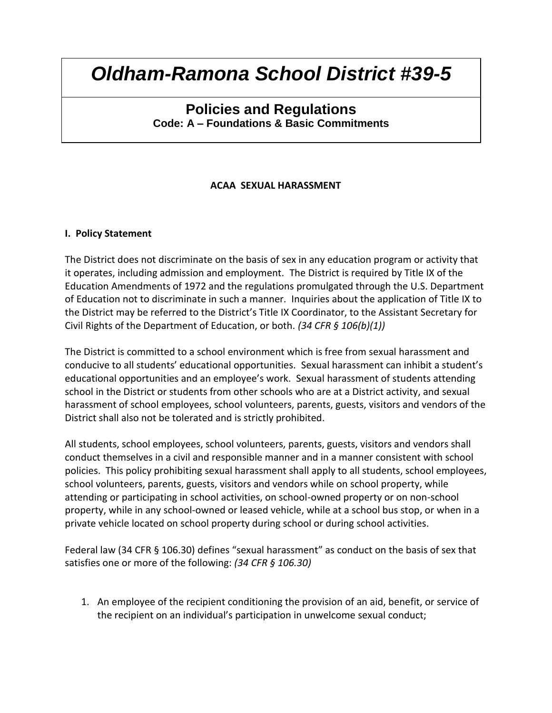## **Policies and Regulations Code: A – Foundations & Basic Commitments**

### **ACAA SEXUAL HARASSMENT**

#### **I. Policy Statement**

The District does not discriminate on the basis of sex in any education program or activity that it operates, including admission and employment. The District is required by Title IX of the Education Amendments of 1972 and the regulations promulgated through the U.S. Department of Education not to discriminate in such a manner. Inquiries about the application of Title IX to the District may be referred to the District's Title IX Coordinator, to the Assistant Secretary for Civil Rights of the Department of Education, or both. *(34 CFR § 106(b)(1))*

The District is committed to a school environment which is free from sexual harassment and conducive to all students' educational opportunities. Sexual harassment can inhibit a student's educational opportunities and an employee's work. Sexual harassment of students attending school in the District or students from other schools who are at a District activity, and sexual harassment of school employees, school volunteers, parents, guests, visitors and vendors of the District shall also not be tolerated and is strictly prohibited.

All students, school employees, school volunteers, parents, guests, visitors and vendors shall conduct themselves in a civil and responsible manner and in a manner consistent with school policies. This policy prohibiting sexual harassment shall apply to all students, school employees, school volunteers, parents, guests, visitors and vendors while on school property, while attending or participating in school activities, on school-owned property or on non-school property, while in any school-owned or leased vehicle, while at a school bus stop, or when in a private vehicle located on school property during school or during school activities.

Federal law (34 CFR § 106.30) defines "sexual harassment" as conduct on the basis of sex that satisfies one or more of the following: *(34 CFR § 106.30)*

1. An employee of the recipient conditioning the provision of an aid, benefit, or service of the recipient on an individual's participation in unwelcome sexual conduct;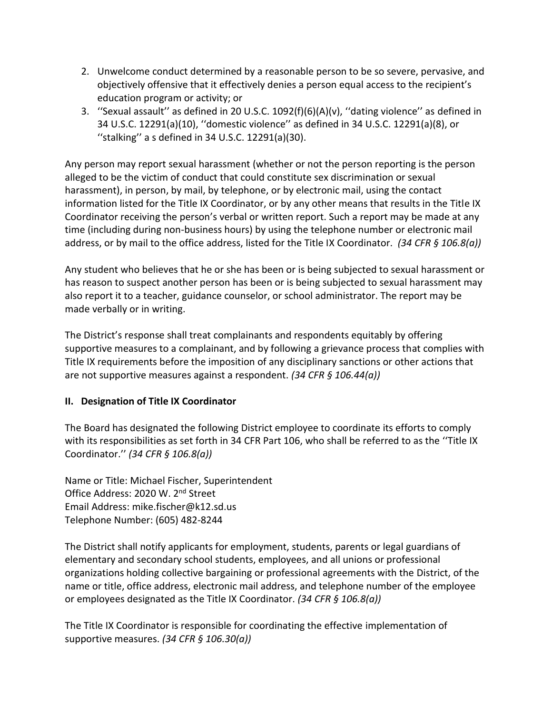- 2. Unwelcome conduct determined by a reasonable person to be so severe, pervasive, and objectively offensive that it effectively denies a person equal access to the recipient's education program or activity; or
- 3. ''Sexual assault'' as defined in 20 U.S.C. 1092(f)(6)(A)(v), ''dating violence'' as defined in 34 U.S.C. 12291(a)(10), ''domestic violence'' as defined in 34 U.S.C. 12291(a)(8), or ''stalking'' a s defined in 34 U.S.C. 12291(a)(30).

Any person may report sexual harassment (whether or not the person reporting is the person alleged to be the victim of conduct that could constitute sex discrimination or sexual harassment), in person, by mail, by telephone, or by electronic mail, using the contact information listed for the Title IX Coordinator, or by any other means that results in the Title IX Coordinator receiving the person's verbal or written report. Such a report may be made at any time (including during non-business hours) by using the telephone number or electronic mail address, or by mail to the office address, listed for the Title IX Coordinator. *(34 CFR § 106.8(a))*

Any student who believes that he or she has been or is being subjected to sexual harassment or has reason to suspect another person has been or is being subjected to sexual harassment may also report it to a teacher, guidance counselor, or school administrator. The report may be made verbally or in writing.

The District's response shall treat complainants and respondents equitably by offering supportive measures to a complainant, and by following a grievance process that complies with Title IX requirements before the imposition of any disciplinary sanctions or other actions that are not supportive measures against a respondent. *(34 CFR § 106.44(a))*

### **II. Designation of Title IX Coordinator**

The Board has designated the following District employee to coordinate its efforts to comply with its responsibilities as set forth in 34 CFR Part 106, who shall be referred to as the ''Title IX Coordinator.'' *(34 CFR § 106.8(a))*

Name or Title: Michael Fischer, Superintendent Office Address: 2020 W. 2nd Street Email Address: mike.fischer@k12.sd.us Telephone Number: (605) 482-8244

The District shall notify applicants for employment, students, parents or legal guardians of elementary and secondary school students, employees, and all unions or professional organizations holding collective bargaining or professional agreements with the District, of the name or title, office address, electronic mail address, and telephone number of the employee or employees designated as the Title IX Coordinator. *(34 CFR § 106.8(a))*

The Title IX Coordinator is responsible for coordinating the effective implementation of supportive measures. *(34 CFR § 106.30(a))*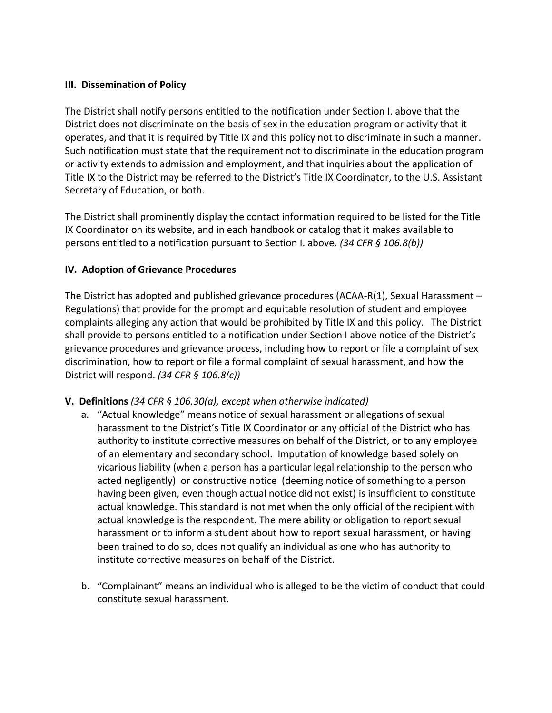### **III. Dissemination of Policy**

The District shall notify persons entitled to the notification under Section I. above that the District does not discriminate on the basis of sex in the education program or activity that it operates, and that it is required by Title IX and this policy not to discriminate in such a manner. Such notification must state that the requirement not to discriminate in the education program or activity extends to admission and employment, and that inquiries about the application of Title IX to the District may be referred to the District's Title IX Coordinator, to the U.S. Assistant Secretary of Education, or both.

The District shall prominently display the contact information required to be listed for the Title IX Coordinator on its website, and in each handbook or catalog that it makes available to persons entitled to a notification pursuant to Section I. above. *(34 CFR § 106.8(b))*

#### **IV. Adoption of Grievance Procedures**

The District has adopted and published grievance procedures (ACAA-R(1), Sexual Harassment  $-$ Regulations) that provide for the prompt and equitable resolution of student and employee complaints alleging any action that would be prohibited by Title IX and this policy. The District shall provide to persons entitled to a notification under Section I above notice of the District's grievance procedures and grievance process, including how to report or file a complaint of sex discrimination, how to report or file a formal complaint of sexual harassment, and how the District will respond. *(34 CFR § 106.8(c))*

### **V. Definitions** *(34 CFR § 106.30(a), except when otherwise indicated)*

- a. "Actual knowledge" means notice of sexual harassment or allegations of sexual harassment to the District's Title IX Coordinator or any official of the District who has authority to institute corrective measures on behalf of the District, or to any employee of an elementary and secondary school. Imputation of knowledge based solely on vicarious liability (when a person has a particular legal relationship to the person who acted negligently) or constructive notice (deeming notice of something to a person having been given, even though actual notice did not exist) is insufficient to constitute actual knowledge. This standard is not met when the only official of the recipient with actual knowledge is the respondent. The mere ability or obligation to report sexual harassment or to inform a student about how to report sexual harassment, or having been trained to do so, does not qualify an individual as one who has authority to institute corrective measures on behalf of the District.
- b. "Complainant" means an individual who is alleged to be the victim of conduct that could constitute sexual harassment.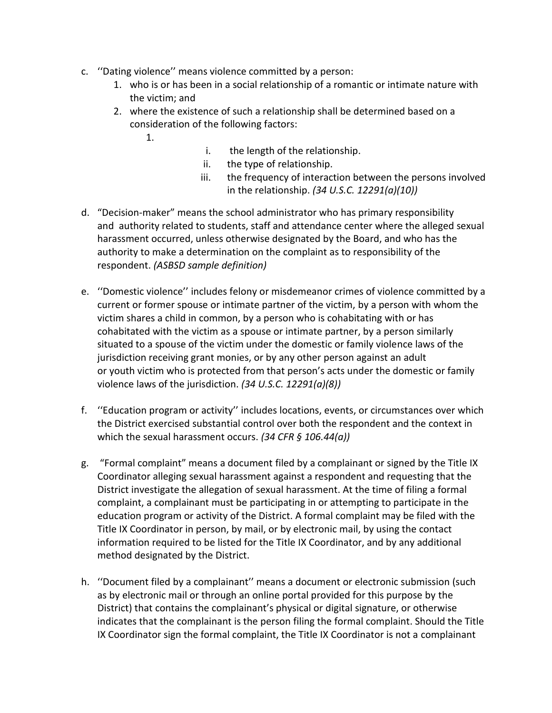- c. ''Dating violence'' means violence committed by a person:
	- 1. who is or has been in a social relationship of a romantic or intimate nature with the victim; and
	- 2. where the existence of such a relationship shall be determined based on a consideration of the following factors:
		- 1.
- i. the length of the relationship.
- ii. the type of relationship.
- iii. the frequency of interaction between the persons involved in the relationship. *(34 U.S.C. 12291(a)(10))*
- d. "Decision-maker" means the school administrator who has primary responsibility and authority related to students, staff and attendance center where the alleged sexual harassment occurred, unless otherwise designated by the Board, and who has the authority to make a determination on the complaint as to responsibility of the respondent. *(ASBSD sample definition)*
- e. ''Domestic violence'' includes felony or misdemeanor crimes of violence committed by a current or former spouse or intimate partner of the victim, by a person with whom the victim shares a child in common, by a person who is cohabitating with or has cohabitated with the victim as a spouse or intimate partner, by a person similarly situated to a spouse of the victim under the domestic or family violence laws of the jurisdiction receiving grant monies, or by any other person against an adult or youth victim who is protected from that person's acts under the domestic or family violence laws of the jurisdiction. *(34 U.S.C. 12291(a)(8))*
- f. ''Education program or activity'' includes locations, events, or circumstances over which the District exercised substantial control over both the respondent and the context in which the sexual harassment occurs. *(34 CFR § 106.44(a))*
- g. "Formal complaint" means a document filed by a complainant or signed by the Title IX Coordinator alleging sexual harassment against a respondent and requesting that the District investigate the allegation of sexual harassment. At the time of filing a formal complaint, a complainant must be participating in or attempting to participate in the education program or activity of the District. A formal complaint may be filed with the Title IX Coordinator in person, by mail, or by electronic mail, by using the contact information required to be listed for the Title IX Coordinator, and by any additional method designated by the District.
- h. ''Document filed by a complainant'' means a document or electronic submission (such as by electronic mail or through an online portal provided for this purpose by the District) that contains the complainant's physical or digital signature, or otherwise indicates that the complainant is the person filing the formal complaint. Should the Title IX Coordinator sign the formal complaint, the Title IX Coordinator is not a complainant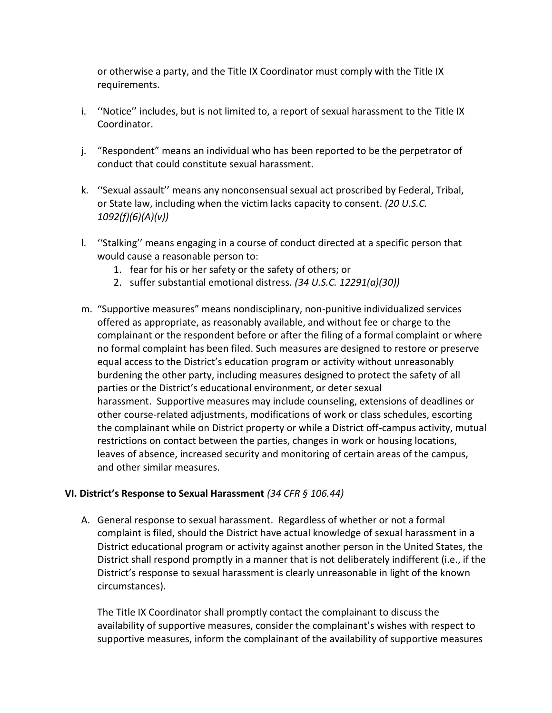or otherwise a party, and the Title IX Coordinator must comply with the Title IX requirements.

- i. ''Notice'' includes, but is not limited to, a report of sexual harassment to the Title IX Coordinator.
- j. "Respondent" means an individual who has been reported to be the perpetrator of conduct that could constitute sexual harassment.
- k. ''Sexual assault'' means any nonconsensual sexual act proscribed by Federal, Tribal, or State law, including when the victim lacks capacity to consent. *(20 U.S.C. 1092(f)(6)(A)(v))*
- l. ''Stalking'' means engaging in a course of conduct directed at a specific person that would cause a reasonable person to:
	- 1. fear for his or her safety or the safety of others; or
	- 2. suffer substantial emotional distress. *(34 U.S.C. 12291(a)(30))*
- m. "Supportive measures" means nondisciplinary, non-punitive individualized services offered as appropriate, as reasonably available, and without fee or charge to the complainant or the respondent before or after the filing of a formal complaint or where no formal complaint has been filed. Such measures are designed to restore or preserve equal access to the District's education program or activity without unreasonably burdening the other party, including measures designed to protect the safety of all parties or the District's educational environment, or deter sexual harassment. Supportive measures may include counseling, extensions of deadlines or other course-related adjustments, modifications of work or class schedules, escorting the complainant while on District property or while a District off-campus activity, mutual restrictions on contact between the parties, changes in work or housing locations, leaves of absence, increased security and monitoring of certain areas of the campus, and other similar measures.

### **VI. District's Response to Sexual Harassment** *(34 CFR § 106.44)*

A. General response to sexual harassment. Regardless of whether or not a formal complaint is filed, should the District have actual knowledge of sexual harassment in a District educational program or activity against another person in the United States, the District shall respond promptly in a manner that is not deliberately indifferent (i.e., if the District's response to sexual harassment is clearly unreasonable in light of the known circumstances).

The Title IX Coordinator shall promptly contact the complainant to discuss the availability of supportive measures, consider the complainant's wishes with respect to supportive measures, inform the complainant of the availability of supportive measures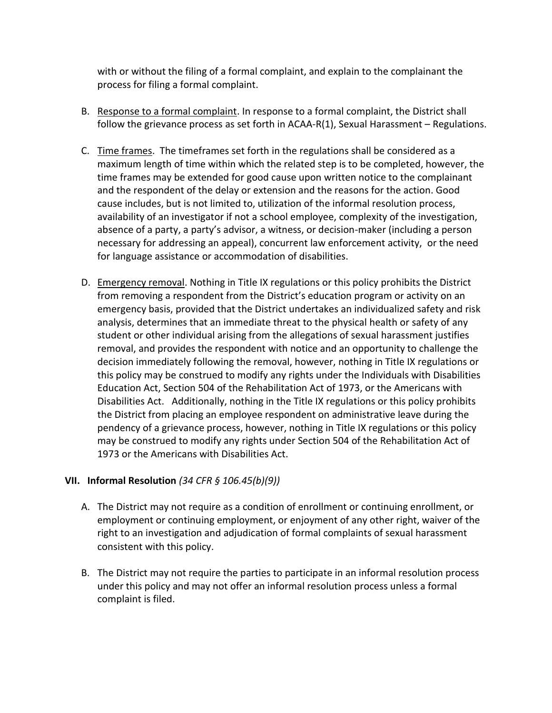with or without the filing of a formal complaint, and explain to the complainant the process for filing a formal complaint.

- B. Response to a formal complaint. In response to a formal complaint, the District shall follow the grievance process as set forth in ACAA-R(1), Sexual Harassment - Regulations.
- C. Time frames. The timeframes set forth in the regulations shall be considered as a maximum length of time within which the related step is to be completed, however, the time frames may be extended for good cause upon written notice to the complainant and the respondent of the delay or extension and the reasons for the action. Good cause includes, but is not limited to, utilization of the informal resolution process, availability of an investigator if not a school employee, complexity of the investigation, absence of a party, a party's advisor, a witness, or decision-maker (including a person necessary for addressing an appeal), concurrent law enforcement activity, or the need for language assistance or accommodation of disabilities.
- D. Emergency removal. Nothing in Title IX regulations or this policy prohibits the District from removing a respondent from the District's education program or activity on an emergency basis, provided that the District undertakes an individualized safety and risk analysis, determines that an immediate threat to the physical health or safety of any student or other individual arising from the allegations of sexual harassment justifies removal, and provides the respondent with notice and an opportunity to challenge the decision immediately following the removal, however, nothing in Title IX regulations or this policy may be construed to modify any rights under the Individuals with Disabilities Education Act, Section 504 of the Rehabilitation Act of 1973, or the Americans with Disabilities Act. Additionally, nothing in the Title IX regulations or this policy prohibits the District from placing an employee respondent on administrative leave during the pendency of a grievance process, however, nothing in Title IX regulations or this policy may be construed to modify any rights under Section 504 of the Rehabilitation Act of 1973 or the Americans with Disabilities Act.

## **VII. Informal Resolution** *(34 CFR § 106.45(b)(9))*

- A. The District may not require as a condition of enrollment or continuing enrollment, or employment or continuing employment, or enjoyment of any other right, waiver of the right to an investigation and adjudication of formal complaints of sexual harassment consistent with this policy.
- B. The District may not require the parties to participate in an informal resolution process under this policy and may not offer an informal resolution process unless a formal complaint is filed.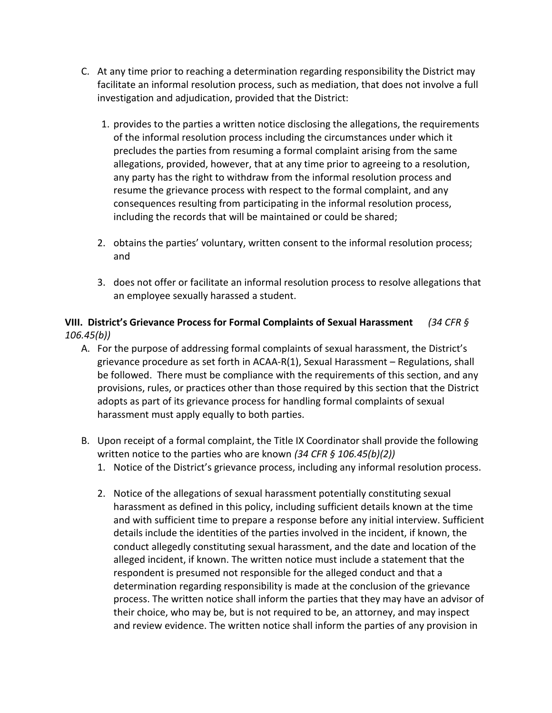- C. At any time prior to reaching a determination regarding responsibility the District may facilitate an informal resolution process, such as mediation, that does not involve a full investigation and adjudication, provided that the District:
	- 1. provides to the parties a written notice disclosing the allegations, the requirements of the informal resolution process including the circumstances under which it precludes the parties from resuming a formal complaint arising from the same allegations, provided, however, that at any time prior to agreeing to a resolution, any party has the right to withdraw from the informal resolution process and resume the grievance process with respect to the formal complaint, and any consequences resulting from participating in the informal resolution process, including the records that will be maintained or could be shared;
	- 2. obtains the parties' voluntary, written consent to the informal resolution process; and
	- 3. does not offer or facilitate an informal resolution process to resolve allegations that an employee sexually harassed a student.

## **VIII. District's Grievance Process for Formal Complaints of Sexual Harassment** *(34 CFR § 106.45(b))*

- A. For the purpose of addressing formal complaints of sexual harassment, the District's grievance procedure as set forth in ACAA-R(1), Sexual Harassment – Regulations, shall be followed. There must be compliance with the requirements of this section, and any provisions, rules, or practices other than those required by this section that the District adopts as part of its grievance process for handling formal complaints of sexual harassment must apply equally to both parties.
- B. Upon receipt of a formal complaint, the Title IX Coordinator shall provide the following written notice to the parties who are known *(34 CFR § 106.45(b)(2))*
	- 1. Notice of the District's grievance process, including any informal resolution process.
	- 2. Notice of the allegations of sexual harassment potentially constituting sexual harassment as defined in this policy, including sufficient details known at the time and with sufficient time to prepare a response before any initial interview. Sufficient details include the identities of the parties involved in the incident, if known, the conduct allegedly constituting sexual harassment, and the date and location of the alleged incident, if known. The written notice must include a statement that the respondent is presumed not responsible for the alleged conduct and that a determination regarding responsibility is made at the conclusion of the grievance process. The written notice shall inform the parties that they may have an advisor of their choice, who may be, but is not required to be, an attorney, and may inspect and review evidence. The written notice shall inform the parties of any provision in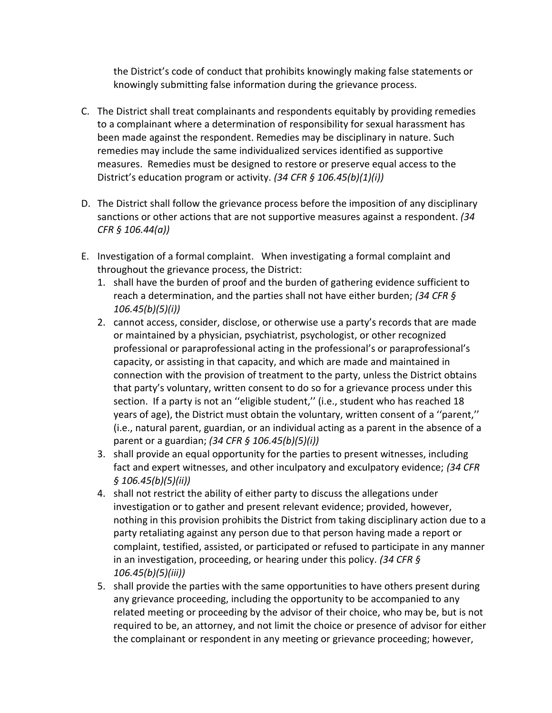the District's code of conduct that prohibits knowingly making false statements or knowingly submitting false information during the grievance process.

- C. The District shall treat complainants and respondents equitably by providing remedies to a complainant where a determination of responsibility for sexual harassment has been made against the respondent. Remedies may be disciplinary in nature. Such remedies may include the same individualized services identified as supportive measures. Remedies must be designed to restore or preserve equal access to the District's education program or activity. *(34 CFR § 106.45(b)(1)(i))*
- D. The District shall follow the grievance process before the imposition of any disciplinary sanctions or other actions that are not supportive measures against a respondent. *(34 CFR § 106.44(a))*
- E. Investigation of a formal complaint. When investigating a formal complaint and throughout the grievance process, the District:
	- 1. shall have the burden of proof and the burden of gathering evidence sufficient to reach a determination, and the parties shall not have either burden; *(34 CFR § 106.45(b)(5)(i))*
	- 2. cannot access, consider, disclose, or otherwise use a party's records that are made or maintained by a physician, psychiatrist, psychologist, or other recognized professional or paraprofessional acting in the professional's or paraprofessional's capacity, or assisting in that capacity, and which are made and maintained in connection with the provision of treatment to the party, unless the District obtains that party's voluntary, written consent to do so for a grievance process under this section. If a party is not an ''eligible student,'' (i.e., student who has reached 18 years of age), the District must obtain the voluntary, written consent of a ''parent,'' (i.e., natural parent, guardian, or an individual acting as a parent in the absence of a parent or a guardian; *(34 CFR § 106.45(b)(5)(i))*
	- 3. shall provide an equal opportunity for the parties to present witnesses, including fact and expert witnesses, and other inculpatory and exculpatory evidence; *(34 CFR § 106.45(b)(5)(ii))*
	- 4. shall not restrict the ability of either party to discuss the allegations under investigation or to gather and present relevant evidence; provided, however, nothing in this provision prohibits the District from taking disciplinary action due to a party retaliating against any person due to that person having made a report or complaint, testified, assisted, or participated or refused to participate in any manner in an investigation, proceeding, or hearing under this policy. *(34 CFR § 106.45(b)(5)(iii))*
	- 5. shall provide the parties with the same opportunities to have others present during any grievance proceeding, including the opportunity to be accompanied to any related meeting or proceeding by the advisor of their choice, who may be, but is not required to be, an attorney, and not limit the choice or presence of advisor for either the complainant or respondent in any meeting or grievance proceeding; however,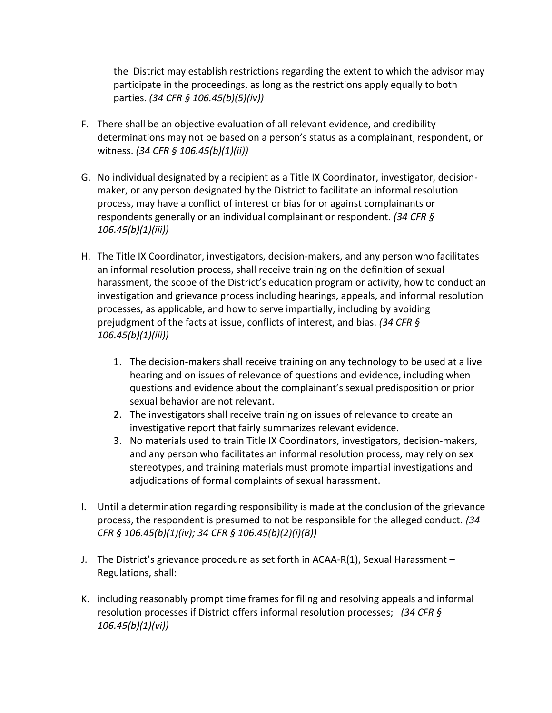the District may establish restrictions regarding the extent to which the advisor may participate in the proceedings, as long as the restrictions apply equally to both parties. *(34 CFR § 106.45(b)(5)(iv))*

- F. There shall be an objective evaluation of all relevant evidence, and credibility determinations may not be based on a person's status as a complainant, respondent, or witness. *(34 CFR § 106.45(b)(1)(ii))*
- G. No individual designated by a recipient as a Title IX Coordinator, investigator, decisionmaker, or any person designated by the District to facilitate an informal resolution process, may have a conflict of interest or bias for or against complainants or respondents generally or an individual complainant or respondent. *(34 CFR § 106.45(b)(1)(iii))*
- H. The Title IX Coordinator, investigators, decision-makers, and any person who facilitates an informal resolution process, shall receive training on the definition of sexual harassment, the scope of the District's education program or activity, how to conduct an investigation and grievance process including hearings, appeals, and informal resolution processes, as applicable, and how to serve impartially, including by avoiding prejudgment of the facts at issue, conflicts of interest, and bias. *(34 CFR § 106.45(b)(1)(iii))*
	- 1. The decision-makers shall receive training on any technology to be used at a live hearing and on issues of relevance of questions and evidence, including when questions and evidence about the complainant's sexual predisposition or prior sexual behavior are not relevant.
	- 2. The investigators shall receive training on issues of relevance to create an investigative report that fairly summarizes relevant evidence.
	- 3. No materials used to train Title IX Coordinators, investigators, decision-makers, and any person who facilitates an informal resolution process, may rely on sex stereotypes, and training materials must promote impartial investigations and adjudications of formal complaints of sexual harassment.
- I. Until a determination regarding responsibility is made at the conclusion of the grievance process, the respondent is presumed to not be responsible for the alleged conduct. *(34 CFR § 106.45(b)(1)(iv); 34 CFR § 106.45(b)(2)(i)(B))*
- J. The District's grievance procedure as set forth in ACAA-R(1), Sexual Harassment Regulations, shall:
- K. including reasonably prompt time frames for filing and resolving appeals and informal resolution processes if District offers informal resolution processes; *(34 CFR § 106.45(b)(1)(vi))*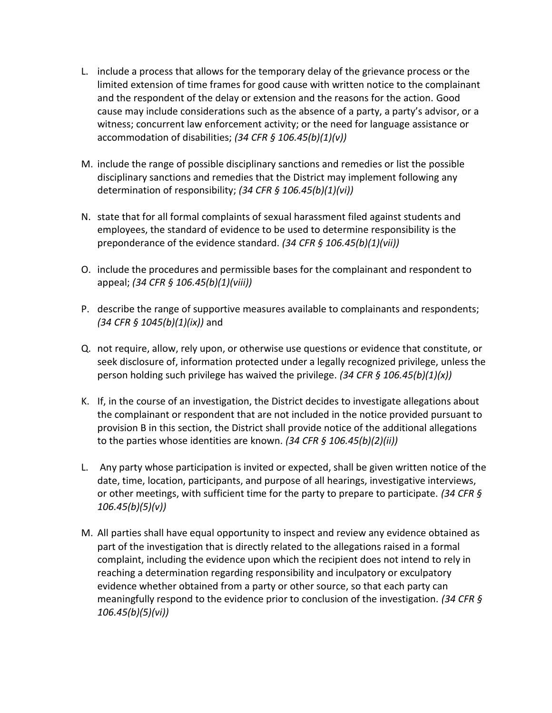- L. include a process that allows for the temporary delay of the grievance process or the limited extension of time frames for good cause with written notice to the complainant and the respondent of the delay or extension and the reasons for the action. Good cause may include considerations such as the absence of a party, a party's advisor, or a witness; concurrent law enforcement activity; or the need for language assistance or accommodation of disabilities; *(34 CFR § 106.45(b)(1)(v))*
- M. include the range of possible disciplinary sanctions and remedies or list the possible disciplinary sanctions and remedies that the District may implement following any determination of responsibility; *(34 CFR § 106.45(b)(1)(vi))*
- N. state that for all formal complaints of sexual harassment filed against students and employees, the standard of evidence to be used to determine responsibility is the preponderance of the evidence standard. *(34 CFR § 106.45(b)(1)(vii))*
- O. include the procedures and permissible bases for the complainant and respondent to appeal; *(34 CFR § 106.45(b)(1)(viii))*
- P. describe the range of supportive measures available to complainants and respondents; *(34 CFR § 1045(b)(1)(ix))* and
- Q. not require, allow, rely upon, or otherwise use questions or evidence that constitute, or seek disclosure of, information protected under a legally recognized privilege, unless the person holding such privilege has waived the privilege. *(34 CFR § 106.45(b)(1)(x))*
- K. If, in the course of an investigation, the District decides to investigate allegations about the complainant or respondent that are not included in the notice provided pursuant to provision B in this section, the District shall provide notice of the additional allegations to the parties whose identities are known. *(34 CFR § 106.45(b)(2)(ii))*
- L. Any party whose participation is invited or expected, shall be given written notice of the date, time, location, participants, and purpose of all hearings, investigative interviews, or other meetings, with sufficient time for the party to prepare to participate. *(34 CFR § 106.45(b)(5)(v))*
- M. All parties shall have equal opportunity to inspect and review any evidence obtained as part of the investigation that is directly related to the allegations raised in a formal complaint, including the evidence upon which the recipient does not intend to rely in reaching a determination regarding responsibility and inculpatory or exculpatory evidence whether obtained from a party or other source, so that each party can meaningfully respond to the evidence prior to conclusion of the investigation. *(34 CFR § 106.45(b)(5)(vi))*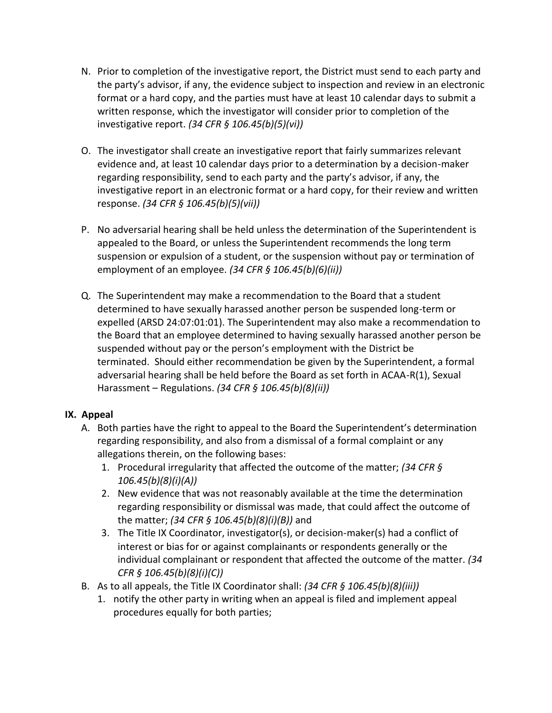- N. Prior to completion of the investigative report, the District must send to each party and the party's advisor, if any, the evidence subject to inspection and review in an electronic format or a hard copy, and the parties must have at least 10 calendar days to submit a written response, which the investigator will consider prior to completion of the investigative report. *(34 CFR § 106.45(b)(5)(vi))*
- O. The investigator shall create an investigative report that fairly summarizes relevant evidence and, at least 10 calendar days prior to a determination by a decision-maker regarding responsibility, send to each party and the party's advisor, if any, the investigative report in an electronic format or a hard copy, for their review and written response. *(34 CFR § 106.45(b)(5)(vii))*
- P. No adversarial hearing shall be held unless the determination of the Superintendent is appealed to the Board, or unless the Superintendent recommends the long term suspension or expulsion of a student, or the suspension without pay or termination of employment of an employee. *(34 CFR § 106.45(b)(6)(ii))*
- Q. The Superintendent may make a recommendation to the Board that a student determined to have sexually harassed another person be suspended long-term or expelled (ARSD 24:07:01:01). The Superintendent may also make a recommendation to the Board that an employee determined to having sexually harassed another person be suspended without pay or the person's employment with the District be terminated. Should either recommendation be given by the Superintendent, a formal adversarial hearing shall be held before the Board as set forth in ACAA-R(1), Sexual Harassment – Regulations. *(34 CFR § 106.45(b)(8)(ii))*

### **IX. Appeal**

- A. Both parties have the right to appeal to the Board the Superintendent's determination regarding responsibility, and also from a dismissal of a formal complaint or any allegations therein, on the following bases:
	- 1. Procedural irregularity that affected the outcome of the matter; *(34 CFR § 106.45(b)(8)(i)(A))*
	- 2. New evidence that was not reasonably available at the time the determination regarding responsibility or dismissal was made, that could affect the outcome of the matter; *(34 CFR § 106.45(b)(8)(i)(B))* and
	- 3. The Title IX Coordinator, investigator(s), or decision-maker(s) had a conflict of interest or bias for or against complainants or respondents generally or the individual complainant or respondent that affected the outcome of the matter. *(34 CFR § 106.45(b)(8)(i)(C))*
- B. As to all appeals, the Title IX Coordinator shall: *(34 CFR § 106.45(b)(8)(iii))*
	- 1. notify the other party in writing when an appeal is filed and implement appeal procedures equally for both parties;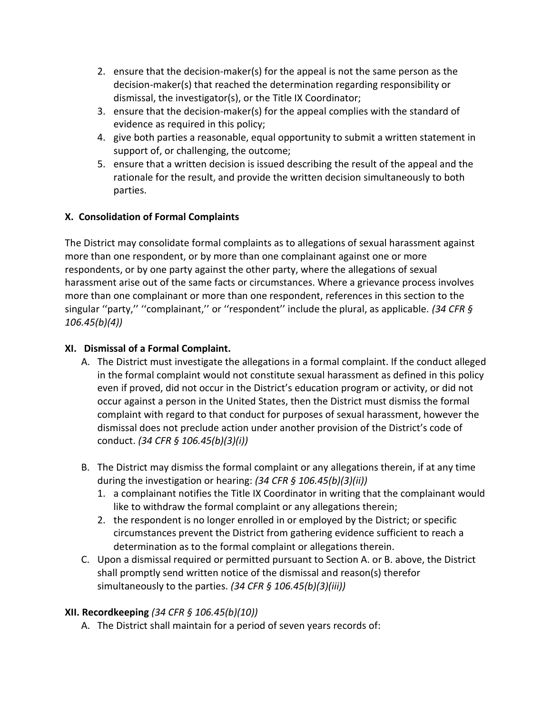- 2. ensure that the decision-maker(s) for the appeal is not the same person as the decision-maker(s) that reached the determination regarding responsibility or dismissal, the investigator(s), or the Title IX Coordinator;
- 3. ensure that the decision-maker(s) for the appeal complies with the standard of evidence as required in this policy;
- 4. give both parties a reasonable, equal opportunity to submit a written statement in support of, or challenging, the outcome;
- 5. ensure that a written decision is issued describing the result of the appeal and the rationale for the result, and provide the written decision simultaneously to both parties.

## **X. Consolidation of Formal Complaints**

The District may consolidate formal complaints as to allegations of sexual harassment against more than one respondent, or by more than one complainant against one or more respondents, or by one party against the other party, where the allegations of sexual harassment arise out of the same facts or circumstances. Where a grievance process involves more than one complainant or more than one respondent, references in this section to the singular ''party,'' ''complainant,'' or ''respondent'' include the plural, as applicable. *(34 CFR § 106.45(b)(4))*

### **XI. Dismissal of a Formal Complaint.**

- A. The District must investigate the allegations in a formal complaint. If the conduct alleged in the formal complaint would not constitute sexual harassment as defined in this policy even if proved, did not occur in the District's education program or activity, or did not occur against a person in the United States, then the District must dismiss the formal complaint with regard to that conduct for purposes of sexual harassment, however the dismissal does not preclude action under another provision of the District's code of conduct. *(34 CFR § 106.45(b)(3)(i))*
- B. The District may dismiss the formal complaint or any allegations therein, if at any time during the investigation or hearing: *(34 CFR § 106.45(b)(3)(ii))*
	- 1. a complainant notifies the Title IX Coordinator in writing that the complainant would like to withdraw the formal complaint or any allegations therein;
	- 2. the respondent is no longer enrolled in or employed by the District; or specific circumstances prevent the District from gathering evidence sufficient to reach a determination as to the formal complaint or allegations therein.
- C. Upon a dismissal required or permitted pursuant to Section A. or B. above, the District shall promptly send written notice of the dismissal and reason(s) therefor simultaneously to the parties. *(34 CFR § 106.45(b)(3)(iii))*

## **XII. Recordkeeping** *(34 CFR § 106.45(b)(10))*

A. The District shall maintain for a period of seven years records of: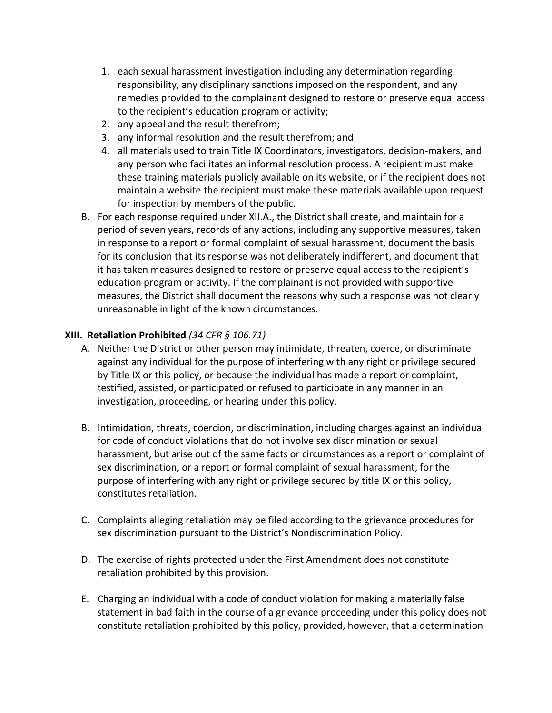- 1. each sexual harassment investigation including any determination regarding responsibility, any disciplinary sanctions imposed on the respondent, and any remedies provided to the complainant designed to restore or preserve equal access to the recipient's education program or activity;
- 2. any appeal and the result therefrom;
- 3. any informal resolution and the result therefrom; and
- 4. all materials used to train Title IX Coordinators, investigators, decision-makers, and any person who facilitates an informal resolution process. A recipient must make these training materials publicly available on its website, or if the recipient does not maintain a website the recipient must make these materials available upon request for inspection by members of the public.
- B. For each response required under XII.A., the District shall create, and maintain for a period of seven years, records of any actions, including any supportive measures, taken in response to a report or formal complaint of sexual harassment, document the basis for its conclusion that its response was not deliberately indifferent, and document that it has taken measures designed to restore or preserve equal access to the recipient's education program or activity. If the complainant is not provided with supportive measures, the District shall document the reasons why such a response was not clearly unreasonable in light of the known circumstances.

### **XIII. Retaliation Prohibited** *(34 CFR § 106.71)*

- A. Neither the District or other person may intimidate, threaten, coerce, or discriminate against any individual for the purpose of interfering with any right or privilege secured by Title IX or this policy, or because the individual has made a report or complaint, testified, assisted, or participated or refused to participate in any manner in an investigation, proceeding, or hearing under this policy.
- B. Intimidation, threats, coercion, or discrimination, including charges against an individual for code of conduct violations that do not involve sex discrimination or sexual harassment, but arise out of the same facts or circumstances as a report or complaint of sex discrimination, or a report or formal complaint of sexual harassment, for the purpose of interfering with any right or privilege secured by title IX or this policy, constitutes retaliation.
- C. Complaints alleging retaliation may be filed according to the grievance procedures for sex discrimination pursuant to the District's Nondiscrimination Policy.
- D. The exercise of rights protected under the First Amendment does not constitute retaliation prohibited by this provision.
- E. Charging an individual with a code of conduct violation for making a materially false statement in bad faith in the course of a grievance proceeding under this policy does not constitute retaliation prohibited by this policy, provided, however, that a determination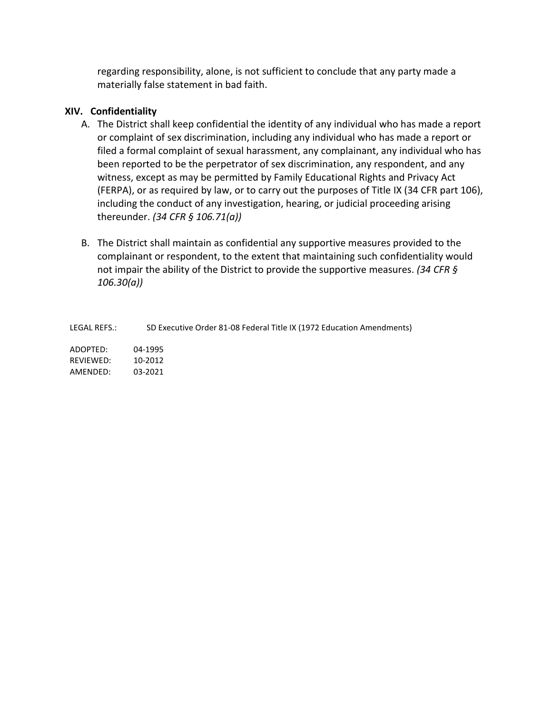regarding responsibility, alone, is not sufficient to conclude that any party made a materially false statement in bad faith.

### **XIV. Confidentiality**

- A. The District shall keep confidential the identity of any individual who has made a report or complaint of sex discrimination, including any individual who has made a report or filed a formal complaint of sexual harassment, any complainant, any individual who has been reported to be the perpetrator of sex discrimination, any respondent, and any witness, except as may be permitted by Family Educational Rights and Privacy Act (FERPA), or as required by law, or to carry out the purposes of Title IX (34 CFR part 106), including the conduct of any investigation, hearing, or judicial proceeding arising thereunder. *(34 CFR § 106.71(a))*
- B. The District shall maintain as confidential any supportive measures provided to the complainant or respondent, to the extent that maintaining such confidentiality would not impair the ability of the District to provide the supportive measures. *(34 CFR § 106.30(a))*

LEGAL REFS.: SD Executive Order 81-08 Federal Title IX (1972 Education Amendments) ADOPTED: 04-1995 REVIEWED: 10-2012 AMENDED: 03-2021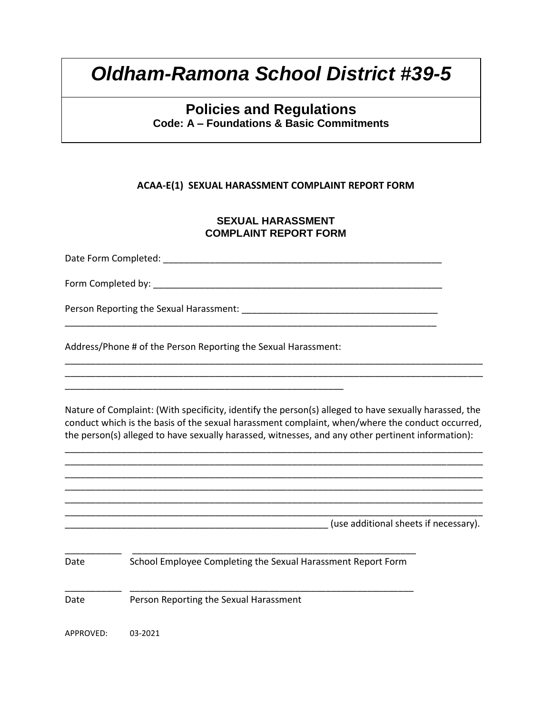## **Policies and Regulations Code: A – Foundations & Basic Commitments**

#### **ACAA-E(1) SEXUAL HARASSMENT COMPLAINT REPORT FORM**

#### **SEXUAL HARASSMENT COMPLAINT REPORT FORM**

Date Form Completed:  $\Box$ Form Completed by: **with a set of the set of the set of the set of the set of the set of the set of the set of the set of the set of the set of the set of the set of the set of the set of the set of the set of the set of t** 

\_\_\_\_\_\_\_\_\_\_\_\_\_\_\_\_\_\_\_\_\_\_\_\_\_\_\_\_\_\_\_\_\_\_\_\_\_\_\_\_\_\_\_\_\_\_\_\_\_\_\_\_\_\_\_\_\_\_\_\_\_\_\_\_\_\_\_\_\_\_\_\_

Person Reporting the Sexual Harassment:  $\blacksquare$ 

Address/Phone # of the Person Reporting the Sexual Harassment:

\_\_\_\_\_\_\_\_\_\_\_\_\_\_\_\_\_\_\_\_\_\_\_\_\_\_\_\_\_\_\_\_\_\_\_\_\_\_\_\_\_\_\_\_\_\_\_\_\_\_\_\_\_\_

Nature of Complaint: (With specificity, identify the person(s) alleged to have sexually harassed, the conduct which is the basis of the sexual harassment complaint, when/where the conduct occurred, the person(s) alleged to have sexually harassed, witnesses, and any other pertinent information):

\_\_\_\_\_\_\_\_\_\_\_\_\_\_\_\_\_\_\_\_\_\_\_\_\_\_\_\_\_\_\_\_\_\_\_\_\_\_\_\_\_\_\_\_\_\_\_\_\_\_\_\_\_\_\_\_\_\_\_\_\_\_\_\_\_\_\_\_\_\_\_\_\_\_\_\_\_\_\_\_\_ \_\_\_\_\_\_\_\_\_\_\_\_\_\_\_\_\_\_\_\_\_\_\_\_\_\_\_\_\_\_\_\_\_\_\_\_\_\_\_\_\_\_\_\_\_\_\_\_\_\_\_\_\_\_\_\_\_\_\_\_\_\_\_\_\_\_\_\_\_\_\_\_\_\_\_\_\_\_\_\_\_ \_\_\_\_\_\_\_\_\_\_\_\_\_\_\_\_\_\_\_\_\_\_\_\_\_\_\_\_\_\_\_\_\_\_\_\_\_\_\_\_\_\_\_\_\_\_\_\_\_\_\_\_\_\_\_\_\_\_\_\_\_\_\_\_\_\_\_\_\_\_\_\_\_\_\_\_\_\_\_\_\_ \_\_\_\_\_\_\_\_\_\_\_\_\_\_\_\_\_\_\_\_\_\_\_\_\_\_\_\_\_\_\_\_\_\_\_\_\_\_\_\_\_\_\_\_\_\_\_\_\_\_\_\_\_\_\_\_\_\_\_\_\_\_\_\_\_\_\_\_\_\_\_\_\_\_\_\_\_\_\_\_\_ \_\_\_\_\_\_\_\_\_\_\_\_\_\_\_\_\_\_\_\_\_\_\_\_\_\_\_\_\_\_\_\_\_\_\_\_\_\_\_\_\_\_\_\_\_\_\_\_\_\_\_\_\_\_\_\_\_\_\_\_\_\_\_\_\_\_\_\_\_\_\_\_\_\_\_\_\_\_\_\_\_

\_\_\_\_\_\_\_\_\_\_\_\_\_\_\_\_\_\_\_\_\_\_\_\_\_\_\_\_\_\_\_\_\_\_\_\_\_\_\_\_\_\_\_\_\_\_\_\_\_\_\_\_\_\_\_\_\_\_\_\_\_\_\_\_\_\_\_\_\_\_\_\_\_\_\_\_\_\_\_\_\_ \_\_\_\_\_\_\_\_\_\_\_\_\_\_\_\_\_\_\_\_\_\_\_\_\_\_\_\_\_\_\_\_\_\_\_\_\_\_\_\_\_\_\_\_\_\_\_\_\_\_\_\_\_\_\_\_\_\_\_\_\_\_\_\_\_\_\_\_\_\_\_\_\_\_\_\_\_\_\_\_\_

\_\_\_\_\_\_\_\_\_\_\_\_\_\_\_\_\_\_\_\_\_\_\_\_\_\_\_\_\_\_\_\_\_\_\_\_\_\_\_\_\_\_\_\_\_\_\_\_\_\_\_\_\_\_\_\_\_\_\_\_\_\_\_\_\_\_\_\_\_\_\_\_\_\_\_\_\_\_\_\_\_ \_\_\_\_\_\_\_\_\_\_\_\_\_\_\_\_\_\_\_\_\_\_\_\_\_\_\_\_\_\_\_\_\_\_\_\_\_\_\_\_\_\_\_\_\_\_\_\_\_\_\_ (use additional sheets if necessary). \_\_\_\_\_\_\_\_\_\_\_ \_\_\_\_\_\_\_\_\_\_\_\_\_\_\_\_\_\_\_\_\_\_\_\_\_\_\_\_\_\_\_\_\_\_\_\_\_\_\_\_\_\_\_\_\_\_\_\_\_\_\_\_\_\_\_ Date School Employee Completing the Sexual Harassment Report Form \_\_\_\_\_\_\_\_\_\_\_ \_\_\_\_\_\_\_\_\_\_\_\_\_\_\_\_\_\_\_\_\_\_\_\_\_\_\_\_\_\_\_\_\_\_\_\_\_\_\_\_\_\_\_\_\_\_\_\_\_\_\_\_\_\_\_ Date Person Reporting the Sexual Harassment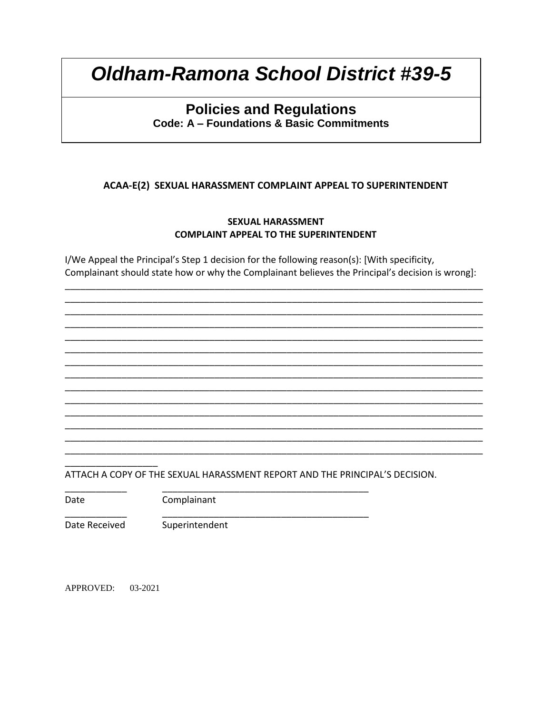## **Policies and Regulations** Code: A - Foundations & Basic Commitments

### ACAA-E(2) SEXUAL HARASSMENT COMPLAINT APPEAL TO SUPERINTENDENT

#### **SEXUAL HARASSMENT COMPLAINT APPEAL TO THE SUPERINTENDENT**

I/We Appeal the Principal's Step 1 decision for the following reason(s): [With specificity, Complainant should state how or why the Complainant believes the Principal's decision is wrong]:

ATTACH A COPY OF THE SEXUAL HARASSMENT REPORT AND THE PRINCIPAL'S DECISION.

Date

Complainant

Date Received

Superintendent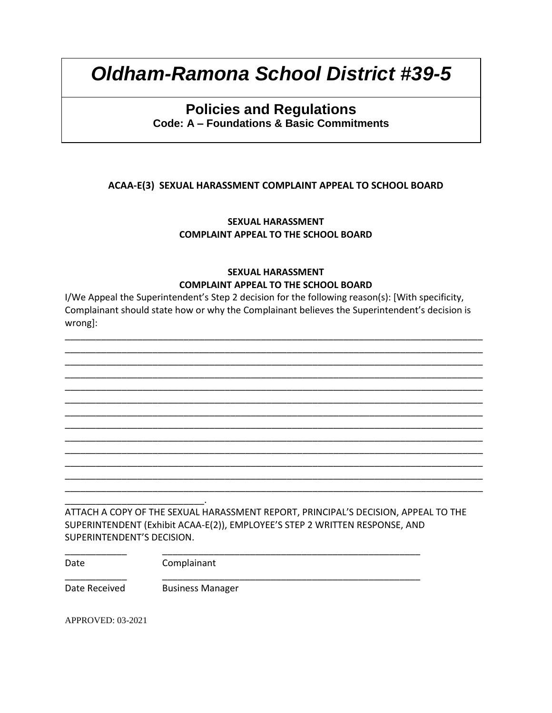## **Policies and Regulations Code: A – Foundations & Basic Commitments**

### **ACAA-E(3) SEXUAL HARASSMENT COMPLAINT APPEAL TO SCHOOL BOARD**

**SEXUAL HARASSMENT COMPLAINT APPEAL TO THE SCHOOL BOARD**

### **SEXUAL HARASSMENT COMPLAINT APPEAL TO THE SCHOOL BOARD**

I/We Appeal the Superintendent's Step 2 decision for the following reason(s): [With specificity, Complainant should state how or why the Complainant believes the Superintendent's decision is wrong]:

\_\_\_\_\_\_\_\_\_\_\_\_\_\_\_\_\_\_\_\_\_\_\_\_\_\_\_\_\_\_\_\_\_\_\_\_\_\_\_\_\_\_\_\_\_\_\_\_\_\_\_\_\_\_\_\_\_\_\_\_\_\_\_\_\_\_\_\_\_\_\_\_\_\_\_\_\_\_\_\_\_ \_\_\_\_\_\_\_\_\_\_\_\_\_\_\_\_\_\_\_\_\_\_\_\_\_\_\_\_\_\_\_\_\_\_\_\_\_\_\_\_\_\_\_\_\_\_\_\_\_\_\_\_\_\_\_\_\_\_\_\_\_\_\_\_\_\_\_\_\_\_\_\_\_\_\_\_\_\_\_\_\_

\_\_\_\_\_\_\_\_\_\_\_\_\_\_\_\_\_\_\_\_\_\_\_\_\_\_\_\_\_\_\_\_\_\_\_\_\_\_\_\_\_\_\_\_\_\_\_\_\_\_\_\_\_\_\_\_\_\_\_\_\_\_\_\_\_\_\_\_\_\_\_\_\_\_\_\_\_\_\_\_\_ \_\_\_\_\_\_\_\_\_\_\_\_\_\_\_\_\_\_\_\_\_\_\_\_\_\_\_\_\_\_\_\_\_\_\_\_\_\_\_\_\_\_\_\_\_\_\_\_\_\_\_\_\_\_\_\_\_\_\_\_\_\_\_\_\_\_\_\_\_\_\_\_\_\_\_\_\_\_\_\_\_ \_\_\_\_\_\_\_\_\_\_\_\_\_\_\_\_\_\_\_\_\_\_\_\_\_\_\_\_\_\_\_\_\_\_\_\_\_\_\_\_\_\_\_\_\_\_\_\_\_\_\_\_\_\_\_\_\_\_\_\_\_\_\_\_\_\_\_\_\_\_\_\_\_\_\_\_\_\_\_\_\_ \_\_\_\_\_\_\_\_\_\_\_\_\_\_\_\_\_\_\_\_\_\_\_\_\_\_\_\_\_\_\_\_\_\_\_\_\_\_\_\_\_\_\_\_\_\_\_\_\_\_\_\_\_\_\_\_\_\_\_\_\_\_\_\_\_\_\_\_\_\_\_\_\_\_\_\_\_\_\_\_\_ \_\_\_\_\_\_\_\_\_\_\_\_\_\_\_\_\_\_\_\_\_\_\_\_\_\_\_\_\_\_\_\_\_\_\_\_\_\_\_\_\_\_\_\_\_\_\_\_\_\_\_\_\_\_\_\_\_\_\_\_\_\_\_\_\_\_\_\_\_\_\_\_\_\_\_\_\_\_\_\_\_ \_\_\_\_\_\_\_\_\_\_\_\_\_\_\_\_\_\_\_\_\_\_\_\_\_\_\_\_\_\_\_\_\_\_\_\_\_\_\_\_\_\_\_\_\_\_\_\_\_\_\_\_\_\_\_\_\_\_\_\_\_\_\_\_\_\_\_\_\_\_\_\_\_\_\_\_\_\_\_\_\_ \_\_\_\_\_\_\_\_\_\_\_\_\_\_\_\_\_\_\_\_\_\_\_\_\_\_\_\_\_\_\_\_\_\_\_\_\_\_\_\_\_\_\_\_\_\_\_\_\_\_\_\_\_\_\_\_\_\_\_\_\_\_\_\_\_\_\_\_\_\_\_\_\_\_\_\_\_\_\_\_\_ \_\_\_\_\_\_\_\_\_\_\_\_\_\_\_\_\_\_\_\_\_\_\_\_\_\_\_\_\_\_\_\_\_\_\_\_\_\_\_\_\_\_\_\_\_\_\_\_\_\_\_\_\_\_\_\_\_\_\_\_\_\_\_\_\_\_\_\_\_\_\_\_\_\_\_\_\_\_\_\_\_ \_\_\_\_\_\_\_\_\_\_\_\_\_\_\_\_\_\_\_\_\_\_\_\_\_\_\_\_\_\_\_\_\_\_\_\_\_\_\_\_\_\_\_\_\_\_\_\_\_\_\_\_\_\_\_\_\_\_\_\_\_\_\_\_\_\_\_\_\_\_\_\_\_\_\_\_\_\_\_\_\_ \_\_\_\_\_\_\_\_\_\_\_\_\_\_\_\_\_\_\_\_\_\_\_\_\_\_\_\_\_\_\_\_\_\_\_\_\_\_\_\_\_\_\_\_\_\_\_\_\_\_\_\_\_\_\_\_\_\_\_\_\_\_\_\_\_\_\_\_\_\_\_\_\_\_\_\_\_\_\_\_\_ \_\_\_\_\_\_\_\_\_\_\_\_\_\_\_\_\_\_\_\_\_\_\_\_\_\_\_\_\_\_\_\_\_\_\_\_\_\_\_\_\_\_\_\_\_\_\_\_\_\_\_\_\_\_\_\_\_\_\_\_\_\_\_\_\_\_\_\_\_\_\_\_\_\_\_\_\_\_\_\_\_ \_\_\_\_\_\_\_\_\_\_\_\_\_\_\_\_\_\_\_\_\_\_\_\_\_\_\_.

ATTACH A COPY OF THE SEXUAL HARASSMENT REPORT, PRINCIPAL'S DECISION, APPEAL TO THE SUPERINTENDENT (Exhibit ACAA-E(2)), EMPLOYEE'S STEP 2 WRITTEN RESPONSE, AND SUPERINTENDENT'S DECISION.

\_\_\_\_\_\_\_\_\_\_\_\_ \_\_\_\_\_\_\_\_\_\_\_\_\_\_\_\_\_\_\_\_\_\_\_\_\_\_\_\_\_\_\_\_\_\_\_\_\_\_\_\_\_\_\_\_\_\_\_\_\_\_

\_\_\_\_\_\_\_\_\_\_\_\_ \_\_\_\_\_\_\_\_\_\_\_\_\_\_\_\_\_\_\_\_\_\_\_\_\_\_\_\_\_\_\_\_\_\_\_\_\_\_\_\_\_\_\_\_\_\_\_\_\_\_

Date Complainant

Date Received Business Manager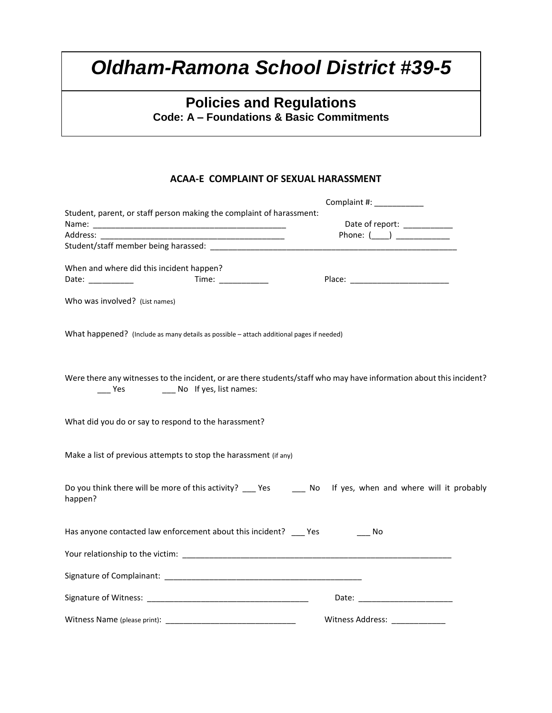# **Policies and Regulations**

**Code: A – Foundations & Basic Commitments**

#### **ACAA-E COMPLAINT OF SEXUAL HARASSMENT**

|                                                                                                                                                                                                                                | Complaint #: ____________                                                                                           |
|--------------------------------------------------------------------------------------------------------------------------------------------------------------------------------------------------------------------------------|---------------------------------------------------------------------------------------------------------------------|
| Student, parent, or staff person making the complaint of harassment:                                                                                                                                                           |                                                                                                                     |
|                                                                                                                                                                                                                                | Date of report: ___________                                                                                         |
| Address: and the state of the state of the state of the state of the state of the state of the state of the state of the state of the state of the state of the state of the state of the state of the state of the state of t | Phone: $(\_\_)$                                                                                                     |
|                                                                                                                                                                                                                                |                                                                                                                     |
| When and where did this incident happen?                                                                                                                                                                                       |                                                                                                                     |
| Time: $\frac{1}{\sqrt{1-\frac{1}{2}}\cdot\frac{1}{2}}$                                                                                                                                                                         |                                                                                                                     |
| Date: __________                                                                                                                                                                                                               |                                                                                                                     |
| Who was involved? (List names)                                                                                                                                                                                                 |                                                                                                                     |
| What happened? (Include as many details as possible - attach additional pages if needed)                                                                                                                                       |                                                                                                                     |
| ____ Yes _____ No If yes, list names:                                                                                                                                                                                          | Were there any witnesses to the incident, or are there students/staff who may have information about this incident? |
| What did you do or say to respond to the harassment?                                                                                                                                                                           |                                                                                                                     |
| Make a list of previous attempts to stop the harassment (if any)                                                                                                                                                               |                                                                                                                     |
| happen?                                                                                                                                                                                                                        | Do you think there will be more of this activity? ___ Yes ______ No If yes, when and where will it probably         |
| Has anyone contacted law enforcement about this incident? __ Yes                                                                                                                                                               | Mo No                                                                                                               |
|                                                                                                                                                                                                                                |                                                                                                                     |
|                                                                                                                                                                                                                                |                                                                                                                     |
|                                                                                                                                                                                                                                |                                                                                                                     |
|                                                                                                                                                                                                                                | Witness Address:                                                                                                    |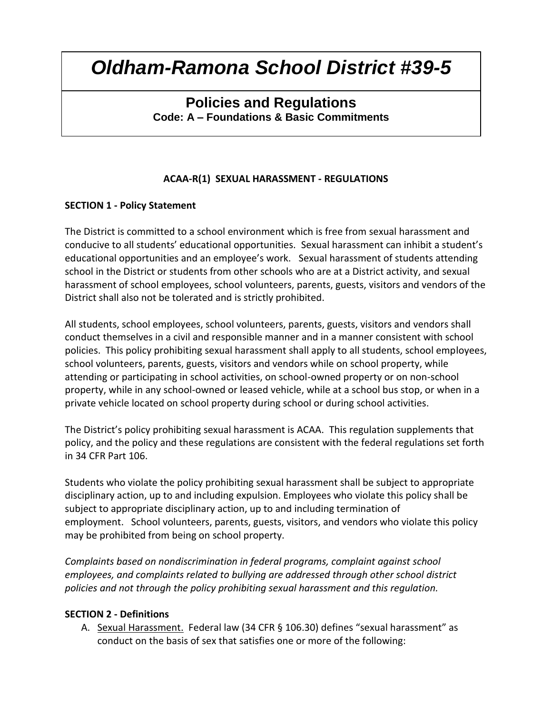## **Policies and Regulations Code: A – Foundations & Basic Commitments**

### **ACAA-R(1) SEXUAL HARASSMENT - REGULATIONS**

### **SECTION 1 - Policy Statement**

The District is committed to a school environment which is free from sexual harassment and conducive to all students' educational opportunities. Sexual harassment can inhibit a student's educational opportunities and an employee's work. Sexual harassment of students attending school in the District or students from other schools who are at a District activity, and sexual harassment of school employees, school volunteers, parents, guests, visitors and vendors of the District shall also not be tolerated and is strictly prohibited.

All students, school employees, school volunteers, parents, guests, visitors and vendors shall conduct themselves in a civil and responsible manner and in a manner consistent with school policies. This policy prohibiting sexual harassment shall apply to all students, school employees, school volunteers, parents, guests, visitors and vendors while on school property, while attending or participating in school activities, on school-owned property or on non-school property, while in any school-owned or leased vehicle, while at a school bus stop, or when in a private vehicle located on school property during school or during school activities.

The District's policy prohibiting sexual harassment is ACAA. This regulation supplements that policy, and the policy and these regulations are consistent with the federal regulations set forth in 34 CFR Part 106.

Students who violate the policy prohibiting sexual harassment shall be subject to appropriate disciplinary action, up to and including expulsion. Employees who violate this policy shall be subject to appropriate disciplinary action, up to and including termination of employment. School volunteers, parents, guests, visitors, and vendors who violate this policy may be prohibited from being on school property.

*Complaints based on nondiscrimination in federal programs, complaint against school employees, and complaints related to bullying are addressed through other school district policies and not through the policy prohibiting sexual harassment and this regulation.* 

#### **SECTION 2 - Definitions**

A. Sexual Harassment. Federal law (34 CFR § 106.30) defines "sexual harassment" as conduct on the basis of sex that satisfies one or more of the following: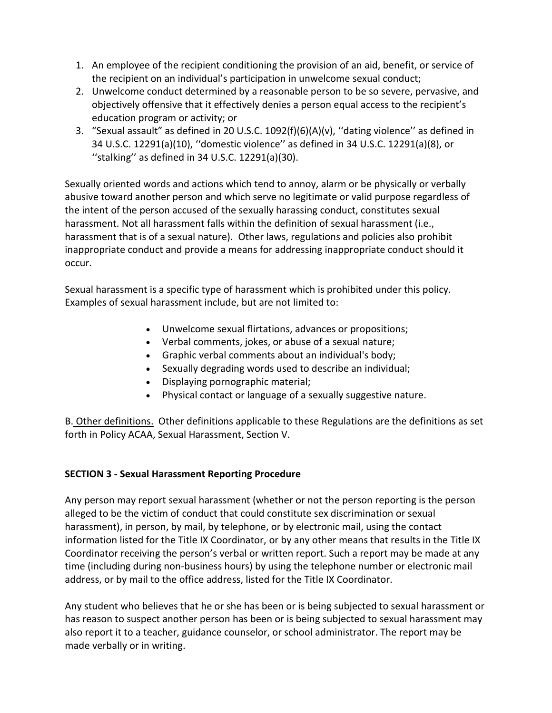- 1. An employee of the recipient conditioning the provision of an aid, benefit, or service of the recipient on an individual's participation in unwelcome sexual conduct;
- 2. Unwelcome conduct determined by a reasonable person to be so severe, pervasive, and objectively offensive that it effectively denies a person equal access to the recipient's education program or activity; or
- 3. "Sexual assault" as defined in 20 U.S.C. 1092(f)(6)(A)(v), ''dating violence'' as defined in 34 U.S.C. 12291(a)(10), ''domestic violence'' as defined in 34 U.S.C. 12291(a)(8), or ''stalking'' as defined in 34 U.S.C. 12291(a)(30).

Sexually oriented words and actions which tend to annoy, alarm or be physically or verbally abusive toward another person and which serve no legitimate or valid purpose regardless of the intent of the person accused of the sexually harassing conduct, constitutes sexual harassment. Not all harassment falls within the definition of sexual harassment (i.e., harassment that is of a sexual nature). Other laws, regulations and policies also prohibit inappropriate conduct and provide a means for addressing inappropriate conduct should it occur.

Sexual harassment is a specific type of harassment which is prohibited under this policy. Examples of sexual harassment include, but are not limited to:

- Unwelcome sexual flirtations, advances or propositions;
- Verbal comments, jokes, or abuse of a sexual nature;
- Graphic verbal comments about an individual's body;
- Sexually degrading words used to describe an individual;
- Displaying pornographic material;
- Physical contact or language of a sexually suggestive nature.

B. Other definitions. Other definitions applicable to these Regulations are the definitions as set forth in Policy ACAA, Sexual Harassment, Section V.

## **SECTION 3 - Sexual Harassment Reporting Procedure**

Any person may report sexual harassment (whether or not the person reporting is the person alleged to be the victim of conduct that could constitute sex discrimination or sexual harassment), in person, by mail, by telephone, or by electronic mail, using the contact information listed for the Title IX Coordinator, or by any other means that results in the Title IX Coordinator receiving the person's verbal or written report. Such a report may be made at any time (including during non-business hours) by using the telephone number or electronic mail address, or by mail to the office address, listed for the Title IX Coordinator.

Any student who believes that he or she has been or is being subjected to sexual harassment or has reason to suspect another person has been or is being subjected to sexual harassment may also report it to a teacher, guidance counselor, or school administrator. The report may be made verbally or in writing.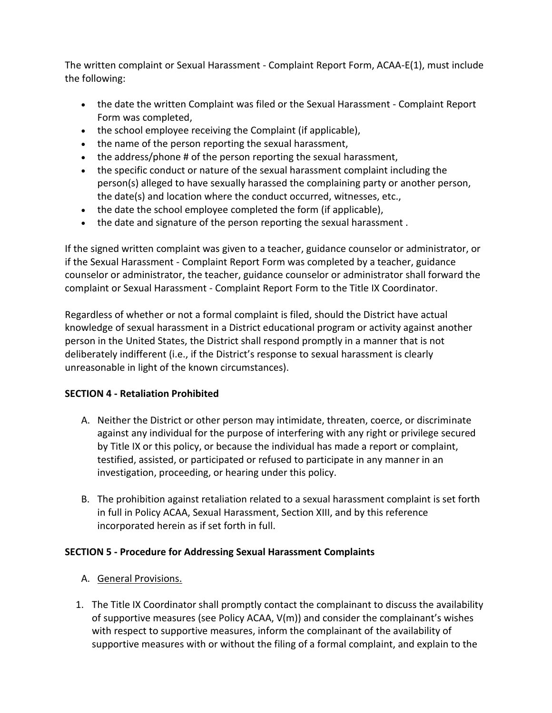The written complaint or Sexual Harassment - Complaint Report Form, ACAA-E(1), must include the following:

- the date the written Complaint was filed or the Sexual Harassment Complaint Report Form was completed,
- the school employee receiving the Complaint (if applicable),
- the name of the person reporting the sexual harassment,
- the address/phone # of the person reporting the sexual harassment,
- the specific conduct or nature of the sexual harassment complaint including the person(s) alleged to have sexually harassed the complaining party or another person, the date(s) and location where the conduct occurred, witnesses, etc.,
- the date the school employee completed the form (if applicable),
- the date and signature of the person reporting the sexual harassment.

If the signed written complaint was given to a teacher, guidance counselor or administrator, or if the Sexual Harassment - Complaint Report Form was completed by a teacher, guidance counselor or administrator, the teacher, guidance counselor or administrator shall forward the complaint or Sexual Harassment - Complaint Report Form to the Title IX Coordinator.

Regardless of whether or not a formal complaint is filed, should the District have actual knowledge of sexual harassment in a District educational program or activity against another person in the United States, the District shall respond promptly in a manner that is not deliberately indifferent (i.e., if the District's response to sexual harassment is clearly unreasonable in light of the known circumstances).

### **SECTION 4 - Retaliation Prohibited**

- A. Neither the District or other person may intimidate, threaten, coerce, or discriminate against any individual for the purpose of interfering with any right or privilege secured by Title IX or this policy, or because the individual has made a report or complaint, testified, assisted, or participated or refused to participate in any manner in an investigation, proceeding, or hearing under this policy.
- B. The prohibition against retaliation related to a sexual harassment complaint is set forth in full in Policy ACAA, Sexual Harassment, Section XIII, and by this reference incorporated herein as if set forth in full.

## **SECTION 5 - Procedure for Addressing Sexual Harassment Complaints**

- A. General Provisions.
- 1. The Title IX Coordinator shall promptly contact the complainant to discuss the availability of supportive measures (see Policy ACAA, V(m)) and consider the complainant's wishes with respect to supportive measures, inform the complainant of the availability of supportive measures with or without the filing of a formal complaint, and explain to the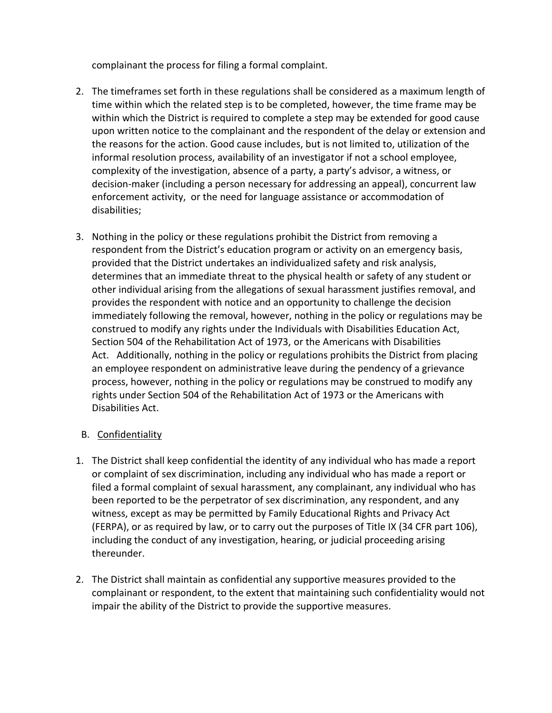complainant the process for filing a formal complaint.

- 2. The timeframes set forth in these regulations shall be considered as a maximum length of time within which the related step is to be completed, however, the time frame may be within which the District is required to complete a step may be extended for good cause upon written notice to the complainant and the respondent of the delay or extension and the reasons for the action. Good cause includes, but is not limited to, utilization of the informal resolution process, availability of an investigator if not a school employee, complexity of the investigation, absence of a party, a party's advisor, a witness, or decision-maker (including a person necessary for addressing an appeal), concurrent law enforcement activity, or the need for language assistance or accommodation of disabilities;
- 3. Nothing in the policy or these regulations prohibit the District from removing a respondent from the District's education program or activity on an emergency basis, provided that the District undertakes an individualized safety and risk analysis, determines that an immediate threat to the physical health or safety of any student or other individual arising from the allegations of sexual harassment justifies removal, and provides the respondent with notice and an opportunity to challenge the decision immediately following the removal, however, nothing in the policy or regulations may be construed to modify any rights under the Individuals with Disabilities Education Act, Section 504 of the Rehabilitation Act of 1973, or the Americans with Disabilities Act. Additionally, nothing in the policy or regulations prohibits the District from placing an employee respondent on administrative leave during the pendency of a grievance process, however, nothing in the policy or regulations may be construed to modify any rights under Section 504 of the Rehabilitation Act of 1973 or the Americans with Disabilities Act.

### B. Confidentiality

- 1. The District shall keep confidential the identity of any individual who has made a report or complaint of sex discrimination, including any individual who has made a report or filed a formal complaint of sexual harassment, any complainant, any individual who has been reported to be the perpetrator of sex discrimination, any respondent, and any witness, except as may be permitted by Family Educational Rights and Privacy Act (FERPA), or as required by law, or to carry out the purposes of Title IX (34 CFR part 106), including the conduct of any investigation, hearing, or judicial proceeding arising thereunder.
- 2. The District shall maintain as confidential any supportive measures provided to the complainant or respondent, to the extent that maintaining such confidentiality would not impair the ability of the District to provide the supportive measures.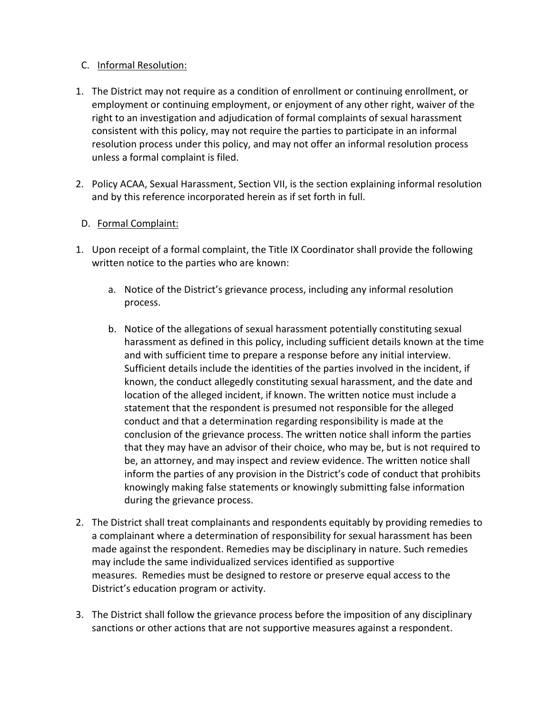### C. Informal Resolution:

- 1. The District may not require as a condition of enrollment or continuing enrollment, or employment or continuing employment, or enjoyment of any other right, waiver of the right to an investigation and adjudication of formal complaints of sexual harassment consistent with this policy, may not require the parties to participate in an informal resolution process under this policy, and may not offer an informal resolution process unless a formal complaint is filed.
- 2. Policy ACAA, Sexual Harassment, Section VII, is the section explaining informal resolution and by this reference incorporated herein as if set forth in full.

### D. Formal Complaint:

- 1. Upon receipt of a formal complaint, the Title IX Coordinator shall provide the following written notice to the parties who are known:
	- a. Notice of the District's grievance process, including any informal resolution process.
	- b. Notice of the allegations of sexual harassment potentially constituting sexual harassment as defined in this policy, including sufficient details known at the time and with sufficient time to prepare a response before any initial interview. Sufficient details include the identities of the parties involved in the incident, if known, the conduct allegedly constituting sexual harassment, and the date and location of the alleged incident, if known. The written notice must include a statement that the respondent is presumed not responsible for the alleged conduct and that a determination regarding responsibility is made at the conclusion of the grievance process. The written notice shall inform the parties that they may have an advisor of their choice, who may be, but is not required to be, an attorney, and may inspect and review evidence. The written notice shall inform the parties of any provision in the District's code of conduct that prohibits knowingly making false statements or knowingly submitting false information during the grievance process.
- 2. The District shall treat complainants and respondents equitably by providing remedies to a complainant where a determination of responsibility for sexual harassment has been made against the respondent. Remedies may be disciplinary in nature. Such remedies may include the same individualized services identified as supportive measures. Remedies must be designed to restore or preserve equal access to the District's education program or activity.
- 3. The District shall follow the grievance process before the imposition of any disciplinary sanctions or other actions that are not supportive measures against a respondent.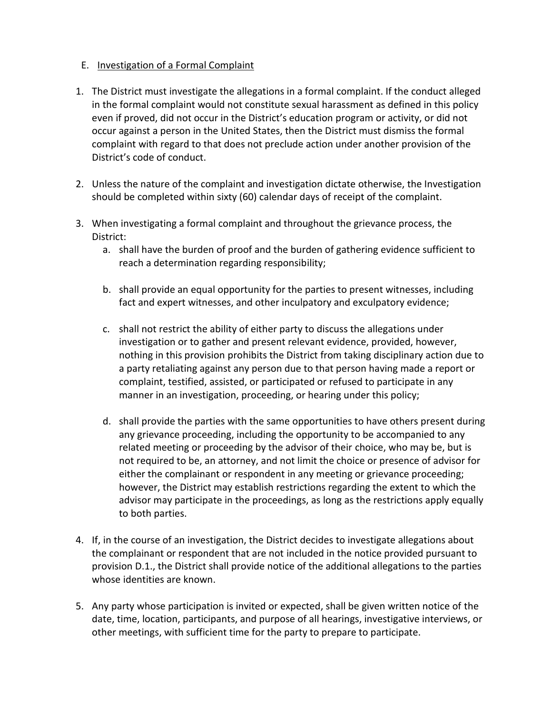#### E. Investigation of a Formal Complaint

- 1. The District must investigate the allegations in a formal complaint. If the conduct alleged in the formal complaint would not constitute sexual harassment as defined in this policy even if proved, did not occur in the District's education program or activity, or did not occur against a person in the United States, then the District must dismiss the formal complaint with regard to that does not preclude action under another provision of the District's code of conduct.
- 2. Unless the nature of the complaint and investigation dictate otherwise, the Investigation should be completed within sixty (60) calendar days of receipt of the complaint.
- 3. When investigating a formal complaint and throughout the grievance process, the District:
	- a. shall have the burden of proof and the burden of gathering evidence sufficient to reach a determination regarding responsibility;
	- b. shall provide an equal opportunity for the parties to present witnesses, including fact and expert witnesses, and other inculpatory and exculpatory evidence;
	- c. shall not restrict the ability of either party to discuss the allegations under investigation or to gather and present relevant evidence, provided, however, nothing in this provision prohibits the District from taking disciplinary action due to a party retaliating against any person due to that person having made a report or complaint, testified, assisted, or participated or refused to participate in any manner in an investigation, proceeding, or hearing under this policy;
	- d. shall provide the parties with the same opportunities to have others present during any grievance proceeding, including the opportunity to be accompanied to any related meeting or proceeding by the advisor of their choice, who may be, but is not required to be, an attorney, and not limit the choice or presence of advisor for either the complainant or respondent in any meeting or grievance proceeding; however, the District may establish restrictions regarding the extent to which the advisor may participate in the proceedings, as long as the restrictions apply equally to both parties.
- 4. If, in the course of an investigation, the District decides to investigate allegations about the complainant or respondent that are not included in the notice provided pursuant to provision D.1., the District shall provide notice of the additional allegations to the parties whose identities are known.
- 5. Any party whose participation is invited or expected, shall be given written notice of the date, time, location, participants, and purpose of all hearings, investigative interviews, or other meetings, with sufficient time for the party to prepare to participate.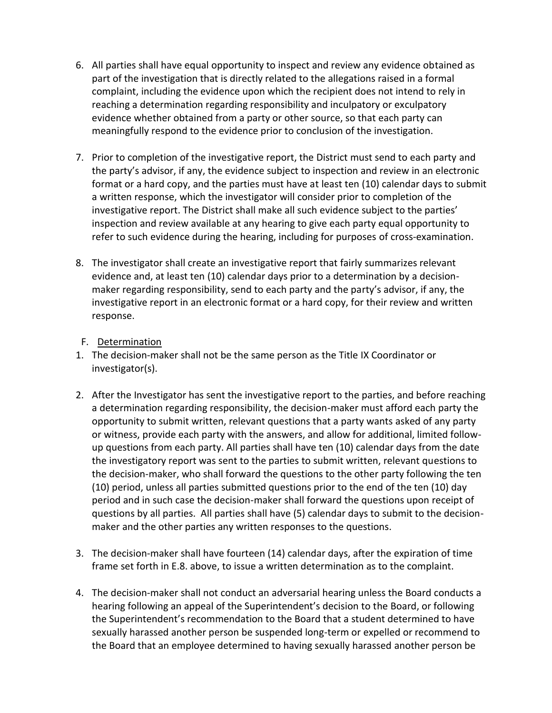- 6. All parties shall have equal opportunity to inspect and review any evidence obtained as part of the investigation that is directly related to the allegations raised in a formal complaint, including the evidence upon which the recipient does not intend to rely in reaching a determination regarding responsibility and inculpatory or exculpatory evidence whether obtained from a party or other source, so that each party can meaningfully respond to the evidence prior to conclusion of the investigation.
- 7. Prior to completion of the investigative report, the District must send to each party and the party's advisor, if any, the evidence subject to inspection and review in an electronic format or a hard copy, and the parties must have at least ten (10) calendar days to submit a written response, which the investigator will consider prior to completion of the investigative report. The District shall make all such evidence subject to the parties' inspection and review available at any hearing to give each party equal opportunity to refer to such evidence during the hearing, including for purposes of cross-examination.
- 8. The investigator shall create an investigative report that fairly summarizes relevant evidence and, at least ten (10) calendar days prior to a determination by a decisionmaker regarding responsibility, send to each party and the party's advisor, if any, the investigative report in an electronic format or a hard copy, for their review and written response.
- F. Determination
- 1. The decision-maker shall not be the same person as the Title IX Coordinator or investigator(s).
- 2. After the Investigator has sent the investigative report to the parties, and before reaching a determination regarding responsibility, the decision-maker must afford each party the opportunity to submit written, relevant questions that a party wants asked of any party or witness, provide each party with the answers, and allow for additional, limited followup questions from each party. All parties shall have ten (10) calendar days from the date the investigatory report was sent to the parties to submit written, relevant questions to the decision-maker, who shall forward the questions to the other party following the ten (10) period, unless all parties submitted questions prior to the end of the ten (10) day period and in such case the decision-maker shall forward the questions upon receipt of questions by all parties. All parties shall have (5) calendar days to submit to the decisionmaker and the other parties any written responses to the questions.
- 3. The decision-maker shall have fourteen (14) calendar days, after the expiration of time frame set forth in E.8. above, to issue a written determination as to the complaint.
- 4. The decision-maker shall not conduct an adversarial hearing unless the Board conducts a hearing following an appeal of the Superintendent's decision to the Board, or following the Superintendent's recommendation to the Board that a student determined to have sexually harassed another person be suspended long-term or expelled or recommend to the Board that an employee determined to having sexually harassed another person be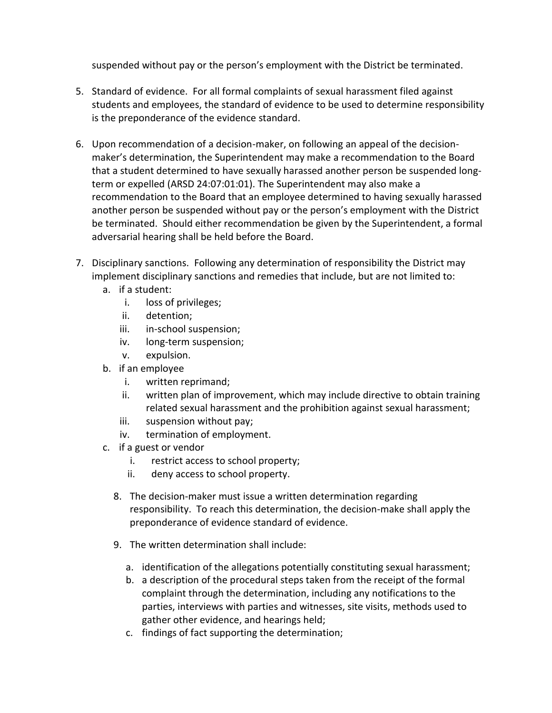suspended without pay or the person's employment with the District be terminated.

- 5. Standard of evidence. For all formal complaints of sexual harassment filed against students and employees, the standard of evidence to be used to determine responsibility is the preponderance of the evidence standard.
- 6. Upon recommendation of a decision-maker, on following an appeal of the decisionmaker's determination, the Superintendent may make a recommendation to the Board that a student determined to have sexually harassed another person be suspended longterm or expelled (ARSD 24:07:01:01). The Superintendent may also make a recommendation to the Board that an employee determined to having sexually harassed another person be suspended without pay or the person's employment with the District be terminated. Should either recommendation be given by the Superintendent, a formal adversarial hearing shall be held before the Board.
- 7. Disciplinary sanctions. Following any determination of responsibility the District may implement disciplinary sanctions and remedies that include, but are not limited to:
	- a. if a student:
		- i. loss of privileges;
		- ii. detention;
		- iii. in-school suspension;
		- iv. long-term suspension;
		- v. expulsion.
	- b. if an employee
		- i. written reprimand;
		- ii. written plan of improvement, which may include directive to obtain training related sexual harassment and the prohibition against sexual harassment;
		- iii. suspension without pay;
		- iv. termination of employment.
	- c. if a guest or vendor
		- i. restrict access to school property;
		- ii. deny access to school property.
		- 8. The decision-maker must issue a written determination regarding responsibility. To reach this determination, the decision-make shall apply the preponderance of evidence standard of evidence.
		- 9. The written determination shall include:
			- a. identification of the allegations potentially constituting sexual harassment;
			- b. a description of the procedural steps taken from the receipt of the formal complaint through the determination, including any notifications to the parties, interviews with parties and witnesses, site visits, methods used to gather other evidence, and hearings held;
			- c. findings of fact supporting the determination;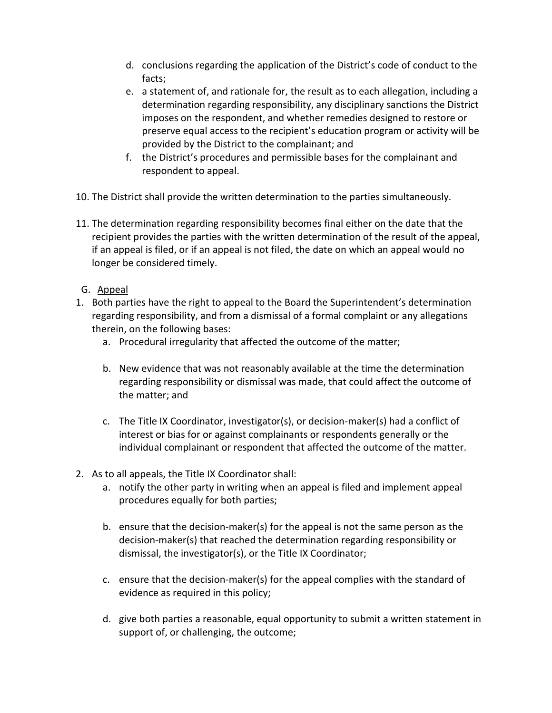- d. conclusions regarding the application of the District's code of conduct to the facts;
- e. a statement of, and rationale for, the result as to each allegation, including a determination regarding responsibility, any disciplinary sanctions the District imposes on the respondent, and whether remedies designed to restore or preserve equal access to the recipient's education program or activity will be provided by the District to the complainant; and
- f. the District's procedures and permissible bases for the complainant and respondent to appeal.
- 10. The District shall provide the written determination to the parties simultaneously.
- 11. The determination regarding responsibility becomes final either on the date that the recipient provides the parties with the written determination of the result of the appeal, if an appeal is filed, or if an appeal is not filed, the date on which an appeal would no longer be considered timely.
- G. Appeal
- 1. Both parties have the right to appeal to the Board the Superintendent's determination regarding responsibility, and from a dismissal of a formal complaint or any allegations therein, on the following bases:
	- a. Procedural irregularity that affected the outcome of the matter;
	- b. New evidence that was not reasonably available at the time the determination regarding responsibility or dismissal was made, that could affect the outcome of the matter; and
	- c. The Title IX Coordinator, investigator(s), or decision-maker(s) had a conflict of interest or bias for or against complainants or respondents generally or the individual complainant or respondent that affected the outcome of the matter.
- 2. As to all appeals, the Title IX Coordinator shall:
	- a. notify the other party in writing when an appeal is filed and implement appeal procedures equally for both parties;
	- b. ensure that the decision-maker(s) for the appeal is not the same person as the decision-maker(s) that reached the determination regarding responsibility or dismissal, the investigator(s), or the Title IX Coordinator;
	- c. ensure that the decision-maker(s) for the appeal complies with the standard of evidence as required in this policy;
	- d. give both parties a reasonable, equal opportunity to submit a written statement in support of, or challenging, the outcome;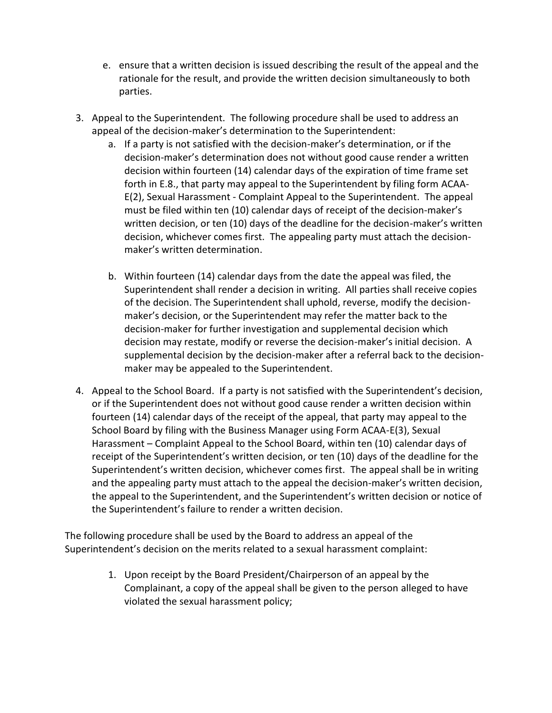- e. ensure that a written decision is issued describing the result of the appeal and the rationale for the result, and provide the written decision simultaneously to both parties.
- 3. Appeal to the Superintendent. The following procedure shall be used to address an appeal of the decision-maker's determination to the Superintendent:
	- a. If a party is not satisfied with the decision-maker's determination, or if the decision-maker's determination does not without good cause render a written decision within fourteen (14) calendar days of the expiration of time frame set forth in E.8., that party may appeal to the Superintendent by filing form ACAA-E(2), Sexual Harassment - Complaint Appeal to the Superintendent. The appeal must be filed within ten (10) calendar days of receipt of the decision-maker's written decision, or ten (10) days of the deadline for the decision-maker's written decision, whichever comes first. The appealing party must attach the decisionmaker's written determination.
	- b. Within fourteen (14) calendar days from the date the appeal was filed, the Superintendent shall render a decision in writing. All parties shall receive copies of the decision. The Superintendent shall uphold, reverse, modify the decisionmaker's decision, or the Superintendent may refer the matter back to the decision-maker for further investigation and supplemental decision which decision may restate, modify or reverse the decision-maker's initial decision. A supplemental decision by the decision-maker after a referral back to the decisionmaker may be appealed to the Superintendent.
- 4. Appeal to the School Board. If a party is not satisfied with the Superintendent's decision, or if the Superintendent does not without good cause render a written decision within fourteen (14) calendar days of the receipt of the appeal, that party may appeal to the School Board by filing with the Business Manager using Form ACAA-E(3), Sexual Harassment – Complaint Appeal to the School Board, within ten (10) calendar days of receipt of the Superintendent's written decision, or ten (10) days of the deadline for the Superintendent's written decision, whichever comes first. The appeal shall be in writing and the appealing party must attach to the appeal the decision-maker's written decision, the appeal to the Superintendent, and the Superintendent's written decision or notice of the Superintendent's failure to render a written decision.

The following procedure shall be used by the Board to address an appeal of the Superintendent's decision on the merits related to a sexual harassment complaint:

> 1. Upon receipt by the Board President/Chairperson of an appeal by the Complainant, a copy of the appeal shall be given to the person alleged to have violated the sexual harassment policy;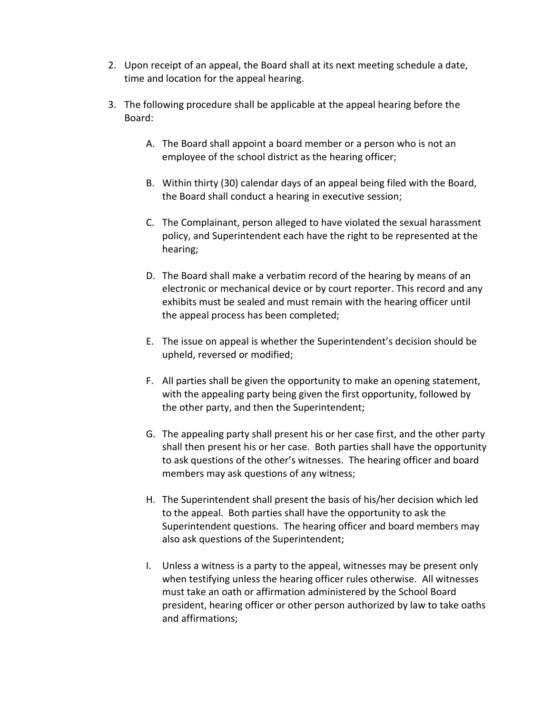- 2. Upon receipt of an appeal, the Board shall at its next meeting schedule a date, time and location for the appeal hearing.
- 3. The following procedure shall be applicable at the appeal hearing before the Board:
	- A. The Board shall appoint a board member or a person who is not an employee of the school district as the hearing officer;
	- B. Within thirty (30) calendar days of an appeal being filed with the Board, the Board shall conduct a hearing in executive session;
	- C. The Complainant, person alleged to have violated the sexual harassment policy, and Superintendent each have the right to be represented at the hearing;
	- D. The Board shall make a verbatim record of the hearing by means of an electronic or mechanical device or by court reporter. This record and any exhibits must be sealed and must remain with the hearing officer until the appeal process has been completed;
	- E. The issue on appeal is whether the Superintendent's decision should be upheld, reversed or modified;
	- F. All parties shall be given the opportunity to make an opening statement, with the appealing party being given the first opportunity, followed by the other party, and then the Superintendent;
	- G. The appealing party shall present his or her case first, and the other party shall then present his or her case. Both parties shall have the opportunity to ask questions of the other's witnesses. The hearing officer and board members may ask questions of any witness;
	- H. The Superintendent shall present the basis of his/her decision which led to the appeal. Both parties shall have the opportunity to ask the Superintendent questions. The hearing officer and board members may also ask questions of the Superintendent;
	- I. Unless a witness is a party to the appeal, witnesses may be present only when testifying unless the hearing officer rules otherwise. All witnesses must take an oath or affirmation administered by the School Board president, hearing officer or other person authorized by law to take oaths and affirmations;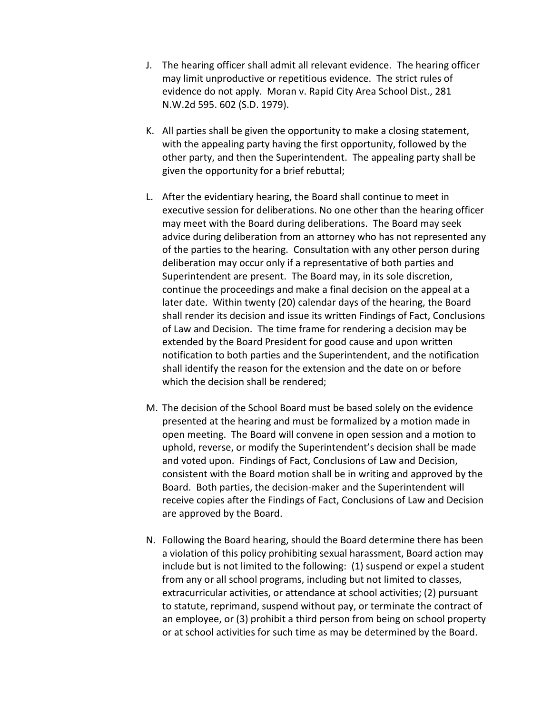- J. The hearing officer shall admit all relevant evidence. The hearing officer may limit unproductive or repetitious evidence. The strict rules of evidence do not apply. Moran v. Rapid City Area School Dist., 281 N.W.2d 595. 602 (S.D. 1979).
- K. All parties shall be given the opportunity to make a closing statement, with the appealing party having the first opportunity, followed by the other party, and then the Superintendent. The appealing party shall be given the opportunity for a brief rebuttal;
- L. After the evidentiary hearing, the Board shall continue to meet in executive session for deliberations. No one other than the hearing officer may meet with the Board during deliberations. The Board may seek advice during deliberation from an attorney who has not represented any of the parties to the hearing. Consultation with any other person during deliberation may occur only if a representative of both parties and Superintendent are present. The Board may, in its sole discretion, continue the proceedings and make a final decision on the appeal at a later date. Within twenty (20) calendar days of the hearing, the Board shall render its decision and issue its written Findings of Fact, Conclusions of Law and Decision. The time frame for rendering a decision may be extended by the Board President for good cause and upon written notification to both parties and the Superintendent, and the notification shall identify the reason for the extension and the date on or before which the decision shall be rendered;
- M. The decision of the School Board must be based solely on the evidence presented at the hearing and must be formalized by a motion made in open meeting. The Board will convene in open session and a motion to uphold, reverse, or modify the Superintendent's decision shall be made and voted upon. Findings of Fact, Conclusions of Law and Decision, consistent with the Board motion shall be in writing and approved by the Board. Both parties, the decision-maker and the Superintendent will receive copies after the Findings of Fact, Conclusions of Law and Decision are approved by the Board.
- N. Following the Board hearing, should the Board determine there has been a violation of this policy prohibiting sexual harassment, Board action may include but is not limited to the following: (1) suspend or expel a student from any or all school programs, including but not limited to classes, extracurricular activities, or attendance at school activities; (2) pursuant to statute, reprimand, suspend without pay, or terminate the contract of an employee, or (3) prohibit a third person from being on school property or at school activities for such time as may be determined by the Board.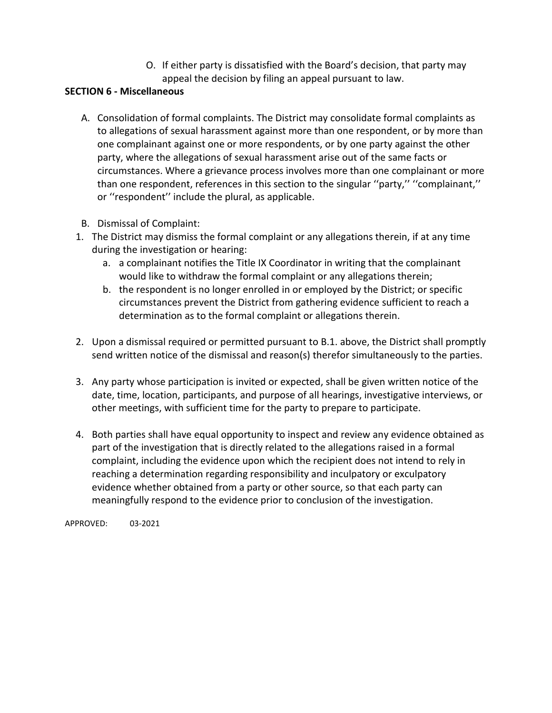O. If either party is dissatisfied with the Board's decision, that party may appeal the decision by filing an appeal pursuant to law.

### **SECTION 6 - Miscellaneous**

- A. Consolidation of formal complaints. The District may consolidate formal complaints as to allegations of sexual harassment against more than one respondent, or by more than one complainant against one or more respondents, or by one party against the other party, where the allegations of sexual harassment arise out of the same facts or circumstances. Where a grievance process involves more than one complainant or more than one respondent, references in this section to the singular ''party,'' ''complainant,'' or ''respondent'' include the plural, as applicable.
- B. Dismissal of Complaint:
- 1. The District may dismiss the formal complaint or any allegations therein, if at any time during the investigation or hearing:
	- a. a complainant notifies the Title IX Coordinator in writing that the complainant would like to withdraw the formal complaint or any allegations therein;
	- b. the respondent is no longer enrolled in or employed by the District; or specific circumstances prevent the District from gathering evidence sufficient to reach a determination as to the formal complaint or allegations therein.
- 2. Upon a dismissal required or permitted pursuant to B.1. above, the District shall promptly send written notice of the dismissal and reason(s) therefor simultaneously to the parties.
- 3. Any party whose participation is invited or expected, shall be given written notice of the date, time, location, participants, and purpose of all hearings, investigative interviews, or other meetings, with sufficient time for the party to prepare to participate.
- 4. Both parties shall have equal opportunity to inspect and review any evidence obtained as part of the investigation that is directly related to the allegations raised in a formal complaint, including the evidence upon which the recipient does not intend to rely in reaching a determination regarding responsibility and inculpatory or exculpatory evidence whether obtained from a party or other source, so that each party can meaningfully respond to the evidence prior to conclusion of the investigation.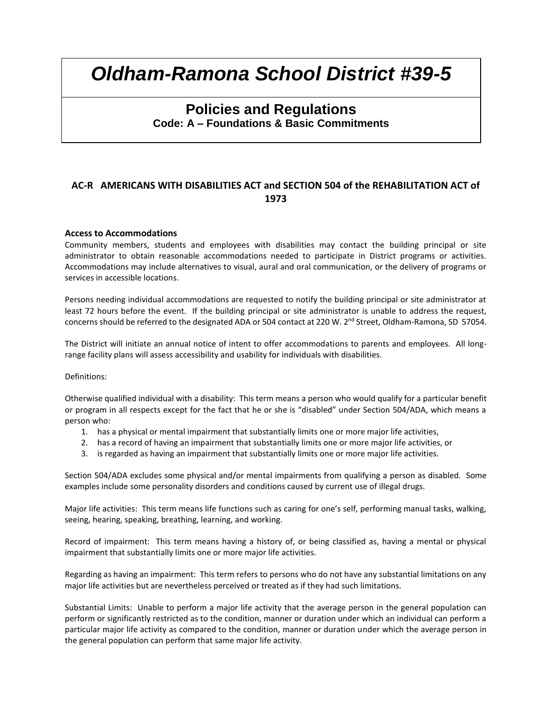## **Policies and Regulations Code: A – Foundations & Basic Commitments**

#### **AC-R AMERICANS WITH DISABILITIES ACT and SECTION 504 of the REHABILITATION ACT of 1973**

#### **Access to Accommodations**

Community members, students and employees with disabilities may contact the building principal or site administrator to obtain reasonable accommodations needed to participate in District programs or activities. Accommodations may include alternatives to visual, aural and oral communication, or the delivery of programs or services in accessible locations.

Persons needing individual accommodations are requested to notify the building principal or site administrator at least 72 hours before the event. If the building principal or site administrator is unable to address the request, concerns should be referred to the designated ADA or 504 contact at 220 W. 2<sup>nd</sup> Street, Oldham-Ramona, SD 57054.

The District will initiate an annual notice of intent to offer accommodations to parents and employees. All longrange facility plans will assess accessibility and usability for individuals with disabilities.

#### Definitions:

Otherwise qualified individual with a disability: This term means a person who would qualify for a particular benefit or program in all respects except for the fact that he or she is "disabled" under Section 504/ADA, which means a person who:

- 1. has a physical or mental impairment that substantially limits one or more major life activities,
- 2. has a record of having an impairment that substantially limits one or more major life activities, or
- 3. is regarded as having an impairment that substantially limits one or more major life activities.

Section 504/ADA excludes some physical and/or mental impairments from qualifying a person as disabled. Some examples include some personality disorders and conditions caused by current use of illegal drugs.

Major life activities: This term means life functions such as caring for one's self, performing manual tasks, walking, seeing, hearing, speaking, breathing, learning, and working.

Record of impairment: This term means having a history of, or being classified as, having a mental or physical impairment that substantially limits one or more major life activities.

Regarding as having an impairment: This term refers to persons who do not have any substantial limitations on any major life activities but are nevertheless perceived or treated as if they had such limitations.

Substantial Limits: Unable to perform a major life activity that the average person in the general population can perform or significantly restricted as to the condition, manner or duration under which an individual can perform a particular major life activity as compared to the condition, manner or duration under which the average person in the general population can perform that same major life activity.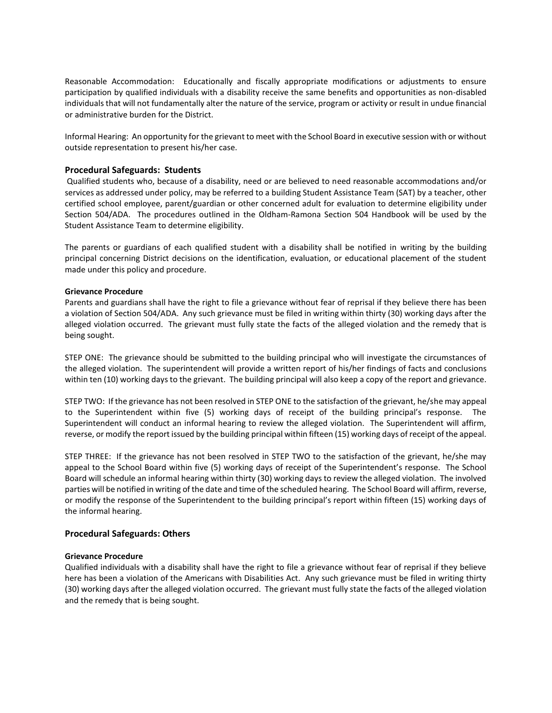Reasonable Accommodation: Educationally and fiscally appropriate modifications or adjustments to ensure participation by qualified individuals with a disability receive the same benefits and opportunities as non-disabled individuals that will not fundamentally alter the nature of the service, program or activity or result in undue financial or administrative burden for the District.

Informal Hearing: An opportunity for the grievant to meet with the School Board in executive session with or without outside representation to present his/her case.

#### **Procedural Safeguards: Students**

Qualified students who, because of a disability, need or are believed to need reasonable accommodations and/or services as addressed under policy, may be referred to a building Student Assistance Team (SAT) by a teacher, other certified school employee, parent/guardian or other concerned adult for evaluation to determine eligibility under Section 504/ADA. The procedures outlined in the Oldham-Ramona Section 504 Handbook will be used by the Student Assistance Team to determine eligibility.

The parents or guardians of each qualified student with a disability shall be notified in writing by the building principal concerning District decisions on the identification, evaluation, or educational placement of the student made under this policy and procedure.

#### **Grievance Procedure**

Parents and guardians shall have the right to file a grievance without fear of reprisal if they believe there has been a violation of Section 504/ADA. Any such grievance must be filed in writing within thirty (30) working days after the alleged violation occurred. The grievant must fully state the facts of the alleged violation and the remedy that is being sought.

STEP ONE: The grievance should be submitted to the building principal who will investigate the circumstances of the alleged violation. The superintendent will provide a written report of his/her findings of facts and conclusions within ten (10) working days to the grievant. The building principal will also keep a copy of the report and grievance.

STEP TWO: If the grievance has not been resolved in STEP ONE to the satisfaction of the grievant, he/she may appeal to the Superintendent within five (5) working days of receipt of the building principal's response. The Superintendent will conduct an informal hearing to review the alleged violation. The Superintendent will affirm, reverse, or modify the report issued by the building principal within fifteen (15) working days of receipt of the appeal.

STEP THREE: If the grievance has not been resolved in STEP TWO to the satisfaction of the grievant, he/she may appeal to the School Board within five (5) working days of receipt of the Superintendent's response. The School Board will schedule an informal hearing within thirty (30) working days to review the alleged violation. The involved parties will be notified in writing of the date and time of the scheduled hearing. The School Board will affirm, reverse, or modify the response of the Superintendent to the building principal's report within fifteen (15) working days of the informal hearing.

#### **Procedural Safeguards: Others**

#### **Grievance Procedure**

Qualified individuals with a disability shall have the right to file a grievance without fear of reprisal if they believe here has been a violation of the Americans with Disabilities Act. Any such grievance must be filed in writing thirty (30) working days after the alleged violation occurred. The grievant must fully state the facts of the alleged violation and the remedy that is being sought.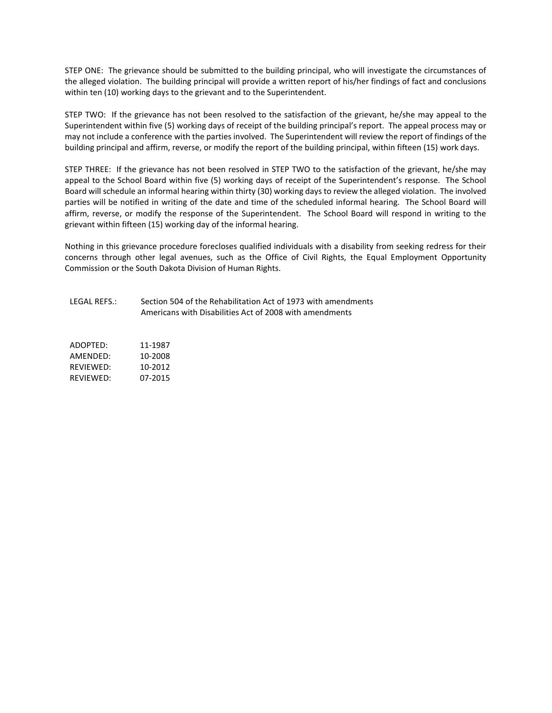STEP ONE: The grievance should be submitted to the building principal, who will investigate the circumstances of the alleged violation. The building principal will provide a written report of his/her findings of fact and conclusions within ten (10) working days to the grievant and to the Superintendent.

STEP TWO: If the grievance has not been resolved to the satisfaction of the grievant, he/she may appeal to the Superintendent within five (5) working days of receipt of the building principal's report. The appeal process may or may not include a conference with the parties involved. The Superintendent will review the report of findings of the building principal and affirm, reverse, or modify the report of the building principal, within fifteen (15) work days.

STEP THREE: If the grievance has not been resolved in STEP TWO to the satisfaction of the grievant, he/she may appeal to the School Board within five (5) working days of receipt of the Superintendent's response. The School Board will schedule an informal hearing within thirty (30) working days to review the alleged violation. The involved parties will be notified in writing of the date and time of the scheduled informal hearing. The School Board will affirm, reverse, or modify the response of the Superintendent. The School Board will respond in writing to the grievant within fifteen (15) working day of the informal hearing.

Nothing in this grievance procedure forecloses qualified individuals with a disability from seeking redress for their concerns through other legal avenues, such as the Office of Civil Rights, the Equal Employment Opportunity Commission or the South Dakota Division of Human Rights.

LEGAL REFS.: Section 504 of the Rehabilitation Act of 1973 with amendments Americans with Disabilities Act of 2008 with amendments

| ADOPTED:  | 11-1987 |
|-----------|---------|
| AMFNDFD:  | 10-2008 |
| RFVIFWFD: | 10-2012 |
| RFVIFWFD: | 07-2015 |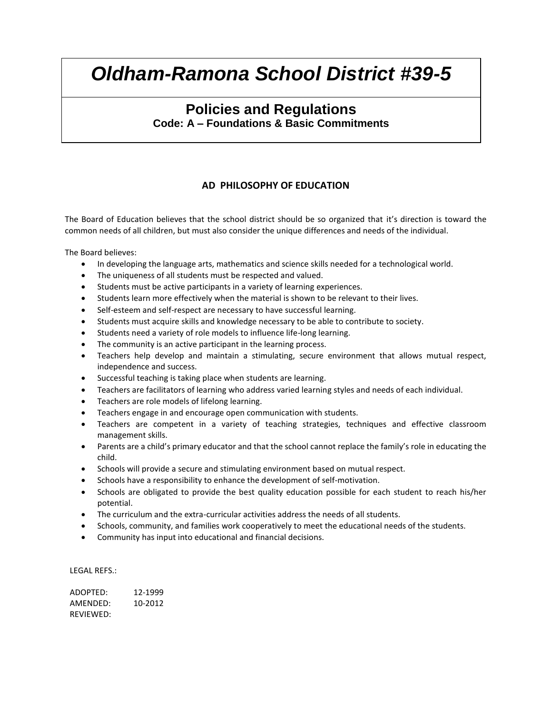## **Policies and Regulations Code: A – Foundations & Basic Commitments**

### **AD PHILOSOPHY OF EDUCATION**

The Board of Education believes that the school district should be so organized that it's direction is toward the common needs of all children, but must also consider the unique differences and needs of the individual.

The Board believes:

- In developing the language arts, mathematics and science skills needed for a technological world.
- The uniqueness of all students must be respected and valued.
- Students must be active participants in a variety of learning experiences.
- Students learn more effectively when the material is shown to be relevant to their lives.
- Self-esteem and self-respect are necessary to have successful learning.
- Students must acquire skills and knowledge necessary to be able to contribute to society.
- Students need a variety of role models to influence life-long learning.
- The community is an active participant in the learning process.
- Teachers help develop and maintain a stimulating, secure environment that allows mutual respect, independence and success.
- Successful teaching is taking place when students are learning.
- Teachers are facilitators of learning who address varied learning styles and needs of each individual.
- Teachers are role models of lifelong learning.
- Teachers engage in and encourage open communication with students.
- Teachers are competent in a variety of teaching strategies, techniques and effective classroom management skills.
- Parents are a child's primary educator and that the school cannot replace the family's role in educating the child.
- Schools will provide a secure and stimulating environment based on mutual respect.
- Schools have a responsibility to enhance the development of self-motivation.
- Schools are obligated to provide the best quality education possible for each student to reach his/her potential.
- The curriculum and the extra-curricular activities address the needs of all students.
- Schools, community, and families work cooperatively to meet the educational needs of the students.
- Community has input into educational and financial decisions.

LEGAL REFS.:

ADOPTED: 12-1999 AMENDED: 10-2012 REVIEWED: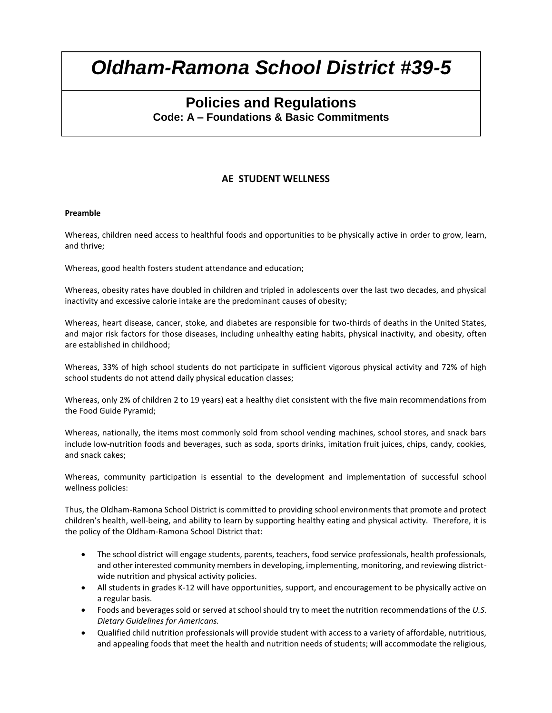### **Policies and Regulations Code: A – Foundations & Basic Commitments**

### **AE STUDENT WELLNESS**

#### **Preamble**

Whereas, children need access to healthful foods and opportunities to be physically active in order to grow, learn, and thrive;

Whereas, good health fosters student attendance and education;

Whereas, obesity rates have doubled in children and tripled in adolescents over the last two decades, and physical inactivity and excessive calorie intake are the predominant causes of obesity;

Whereas, heart disease, cancer, stoke, and diabetes are responsible for two-thirds of deaths in the United States, and major risk factors for those diseases, including unhealthy eating habits, physical inactivity, and obesity, often are established in childhood;

Whereas, 33% of high school students do not participate in sufficient vigorous physical activity and 72% of high school students do not attend daily physical education classes;

Whereas, only 2% of children 2 to 19 years) eat a healthy diet consistent with the five main recommendations from the Food Guide Pyramid;

Whereas, nationally, the items most commonly sold from school vending machines, school stores, and snack bars include low-nutrition foods and beverages, such as soda, sports drinks, imitation fruit juices, chips, candy, cookies, and snack cakes;

Whereas, community participation is essential to the development and implementation of successful school wellness policies:

Thus, the Oldham-Ramona School District is committed to providing school environments that promote and protect children's health, well-being, and ability to learn by supporting healthy eating and physical activity. Therefore, it is the policy of the Oldham-Ramona School District that:

- The school district will engage students, parents, teachers, food service professionals, health professionals, and other interested community members in developing, implementing, monitoring, and reviewing districtwide nutrition and physical activity policies.
- All students in grades K-12 will have opportunities, support, and encouragement to be physically active on a regular basis.
- Foods and beverages sold or served at school should try to meet the nutrition recommendations of the *U.S. Dietary Guidelines for Americans.*
- Qualified child nutrition professionals will provide student with access to a variety of affordable, nutritious, and appealing foods that meet the health and nutrition needs of students; will accommodate the religious,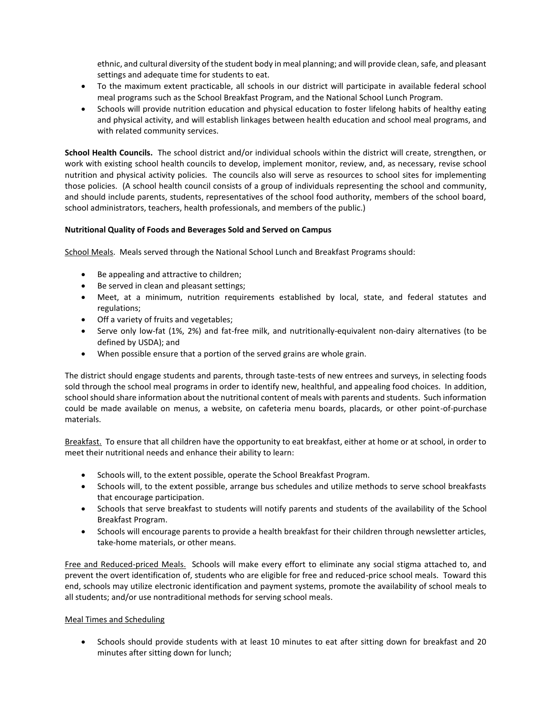ethnic, and cultural diversity of the student body in meal planning; and will provide clean, safe, and pleasant settings and adequate time for students to eat.

- To the maximum extent practicable, all schools in our district will participate in available federal school meal programs such as the School Breakfast Program, and the National School Lunch Program.
- Schools will provide nutrition education and physical education to foster lifelong habits of healthy eating and physical activity, and will establish linkages between health education and school meal programs, and with related community services.

**School Health Councils.** The school district and/or individual schools within the district will create, strengthen, or work with existing school health councils to develop, implement monitor, review, and, as necessary, revise school nutrition and physical activity policies. The councils also will serve as resources to school sites for implementing those policies. (A school health council consists of a group of individuals representing the school and community, and should include parents, students, representatives of the school food authority, members of the school board, school administrators, teachers, health professionals, and members of the public.)

#### **Nutritional Quality of Foods and Beverages Sold and Served on Campus**

School Meals. Meals served through the National School Lunch and Breakfast Programs should:

- Be appealing and attractive to children;
- Be served in clean and pleasant settings;
- Meet, at a minimum, nutrition requirements established by local, state, and federal statutes and regulations;
- Off a variety of fruits and vegetables;
- Serve only low-fat (1%, 2%) and fat-free milk, and nutritionally-equivalent non-dairy alternatives (to be defined by USDA); and
- When possible ensure that a portion of the served grains are whole grain.

The district should engage students and parents, through taste-tests of new entrees and surveys, in selecting foods sold through the school meal programs in order to identify new, healthful, and appealing food choices. In addition, school should share information about the nutritional content of meals with parents and students. Such information could be made available on menus, a website, on cafeteria menu boards, placards, or other point-of-purchase materials.

Breakfast. To ensure that all children have the opportunity to eat breakfast, either at home or at school, in order to meet their nutritional needs and enhance their ability to learn:

- Schools will, to the extent possible, operate the School Breakfast Program.
- Schools will, to the extent possible, arrange bus schedules and utilize methods to serve school breakfasts that encourage participation.
- Schools that serve breakfast to students will notify parents and students of the availability of the School Breakfast Program.
- Schools will encourage parents to provide a health breakfast for their children through newsletter articles, take-home materials, or other means.

Free and Reduced-priced Meals. Schools will make every effort to eliminate any social stigma attached to, and prevent the overt identification of, students who are eligible for free and reduced-price school meals. Toward this end, schools may utilize electronic identification and payment systems, promote the availability of school meals to all students; and/or use nontraditional methods for serving school meals.

#### Meal Times and Scheduling

• Schools should provide students with at least 10 minutes to eat after sitting down for breakfast and 20 minutes after sitting down for lunch;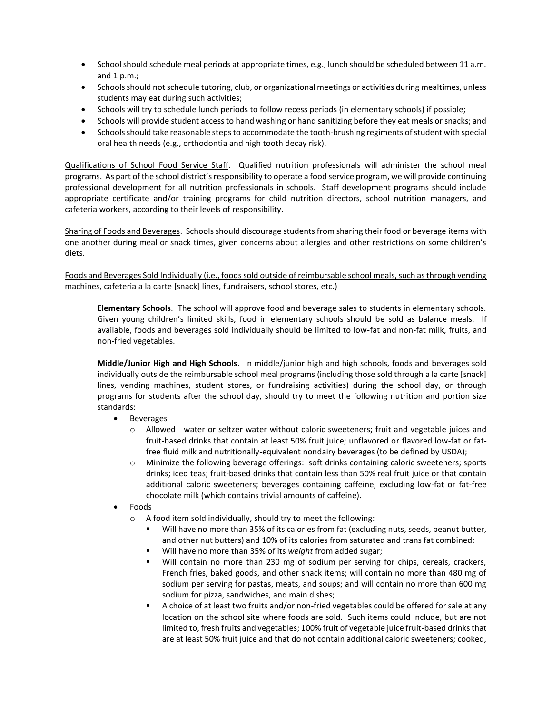- School should schedule meal periods at appropriate times, e.g., lunch should be scheduled between 11 a.m. and  $1 p.m.$ ;
- Schools should not schedule tutoring, club, or organizational meetings or activities during mealtimes, unless students may eat during such activities;
- Schools will try to schedule lunch periods to follow recess periods (in elementary schools) if possible;
- Schools will provide student access to hand washing or hand sanitizing before they eat meals or snacks; and
- Schools should take reasonable steps to accommodate the tooth-brushing regiments of student with special oral health needs (e.g., orthodontia and high tooth decay risk).

Qualifications of School Food Service Staff. Qualified nutrition professionals will administer the school meal programs. As part of the school district's responsibility to operate a food service program, we will provide continuing professional development for all nutrition professionals in schools. Staff development programs should include appropriate certificate and/or training programs for child nutrition directors, school nutrition managers, and cafeteria workers, according to their levels of responsibility.

Sharing of Foods and Beverages. Schools should discourage students from sharing their food or beverage items with one another during meal or snack times, given concerns about allergies and other restrictions on some children's diets.

Foods and Beverages Sold Individually (i.e., foods sold outside of reimbursable school meals, such as through vending machines, cafeteria a la carte [snack] lines, fundraisers, school stores, etc.)

**Elementary Schools**. The school will approve food and beverage sales to students in elementary schools. Given young children's limited skills, food in elementary schools should be sold as balance meals. If available, foods and beverages sold individually should be limited to low-fat and non-fat milk, fruits, and non-fried vegetables.

**Middle/Junior High and High Schools**. In middle/junior high and high schools, foods and beverages sold individually outside the reimbursable school meal programs (including those sold through a la carte [snack] lines, vending machines, student stores, or fundraising activities) during the school day, or through programs for students after the school day, should try to meet the following nutrition and portion size standards:

- Beverages
	- o Allowed: water or seltzer water without caloric sweeteners; fruit and vegetable juices and fruit-based drinks that contain at least 50% fruit juice; unflavored or flavored low-fat or fatfree fluid milk and nutritionally-equivalent nondairy beverages (to be defined by USDA);
	- o Minimize the following beverage offerings: soft drinks containing caloric sweeteners; sports drinks; iced teas; fruit-based drinks that contain less than 50% real fruit juice or that contain additional caloric sweeteners; beverages containing caffeine, excluding low-fat or fat-free chocolate milk (which contains trivial amounts of caffeine).
- Foods
	- o A food item sold individually, should try to meet the following:
		- Will have no more than 35% of its calories from fat (excluding nuts, seeds, peanut butter, and other nut butters) and 10% of its calories from saturated and trans fat combined;
		- Will have no more than 35% of its *weight* from added sugar;
		- Will contain no more than 230 mg of sodium per serving for chips, cereals, crackers, French fries, baked goods, and other snack items; will contain no more than 480 mg of sodium per serving for pastas, meats, and soups; and will contain no more than 600 mg sodium for pizza, sandwiches, and main dishes;
		- A choice of at least two fruits and/or non-fried vegetables could be offered for sale at any location on the school site where foods are sold. Such items could include, but are not limited to, fresh fruits and vegetables; 100% fruit of vegetable juice fruit-based drinks that are at least 50% fruit juice and that do not contain additional caloric sweeteners; cooked,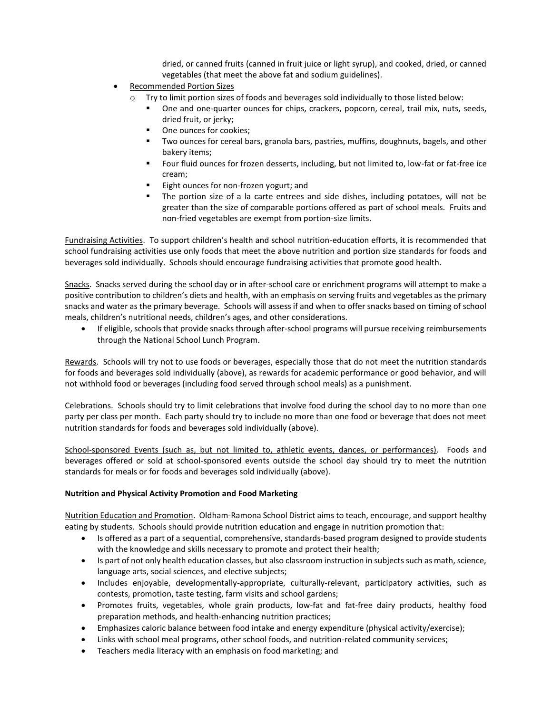dried, or canned fruits (canned in fruit juice or light syrup), and cooked, dried, or canned vegetables (that meet the above fat and sodium guidelines).

- Recommended Portion Sizes
	- $\circ$  Try to limit portion sizes of foods and beverages sold individually to those listed below:
		- One and one-quarter ounces for chips, crackers, popcorn, cereal, trail mix, nuts, seeds, dried fruit, or jerky;
		- One ounces for cookies;
		- Two ounces for cereal bars, granola bars, pastries, muffins, doughnuts, bagels, and other bakery items;
		- Four fluid ounces for frozen desserts, including, but not limited to, low-fat or fat-free ice cream;
		- Eight ounces for non-frozen yogurt; and
		- The portion size of a la carte entrees and side dishes, including potatoes, will not be greater than the size of comparable portions offered as part of school meals. Fruits and non-fried vegetables are exempt from portion-size limits.

Fundraising Activities. To support children's health and school nutrition-education efforts, it is recommended that school fundraising activities use only foods that meet the above nutrition and portion size standards for foods and beverages sold individually. Schools should encourage fundraising activities that promote good health.

Snacks. Snacks served during the school day or in after-school care or enrichment programs will attempt to make a positive contribution to children's diets and health, with an emphasis on serving fruits and vegetables as the primary snacks and water as the primary beverage. Schools will assess if and when to offer snacks based on timing of school meals, children's nutritional needs, children's ages, and other considerations.

• If eligible, schools that provide snacks through after-school programs will pursue receiving reimbursements through the National School Lunch Program.

Rewards. Schools will try not to use foods or beverages, especially those that do not meet the nutrition standards for foods and beverages sold individually (above), as rewards for academic performance or good behavior, and will not withhold food or beverages (including food served through school meals) as a punishment.

Celebrations. Schools should try to limit celebrations that involve food during the school day to no more than one party per class per month. Each party should try to include no more than one food or beverage that does not meet nutrition standards for foods and beverages sold individually (above).

School-sponsored Events (such as, but not limited to, athletic events, dances, or performances). Foods and beverages offered or sold at school-sponsored events outside the school day should try to meet the nutrition standards for meals or for foods and beverages sold individually (above).

#### **Nutrition and Physical Activity Promotion and Food Marketing**

Nutrition Education and Promotion. Oldham-Ramona School District aims to teach, encourage, and support healthy eating by students. Schools should provide nutrition education and engage in nutrition promotion that:

- Is offered as a part of a sequential, comprehensive, standards-based program designed to provide students with the knowledge and skills necessary to promote and protect their health;
- Is part of not only health education classes, but also classroom instruction in subjects such as math, science, language arts, social sciences, and elective subjects;
- Includes enjoyable, developmentally-appropriate, culturally-relevant, participatory activities, such as contests, promotion, taste testing, farm visits and school gardens;
- Promotes fruits, vegetables, whole grain products, low-fat and fat-free dairy products, healthy food preparation methods, and health-enhancing nutrition practices;
- Emphasizes caloric balance between food intake and energy expenditure (physical activity/exercise);
- Links with school meal programs, other school foods, and nutrition-related community services;
- Teachers media literacy with an emphasis on food marketing; and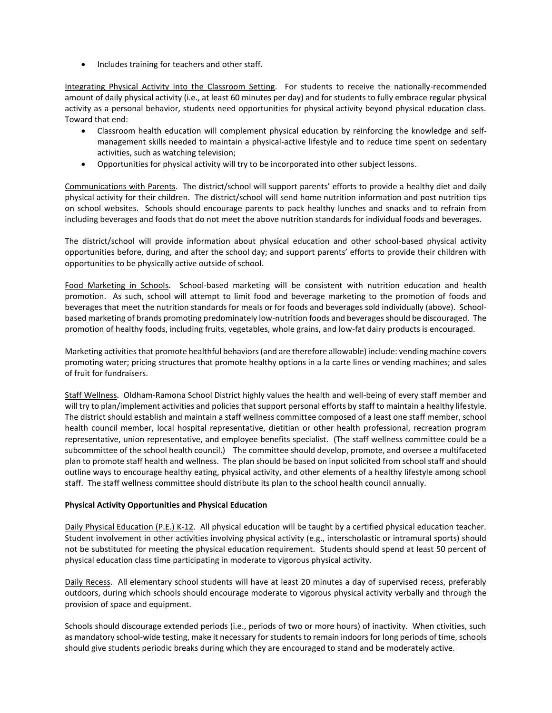• Includes training for teachers and other staff.

Integrating Physical Activity into the Classroom Setting. For students to receive the nationally-recommended amount of daily physical activity (i.e., at least 60 minutes per day) and for students to fully embrace regular physical activity as a personal behavior, students need opportunities for physical activity beyond physical education class. Toward that end:

- Classroom health education will complement physical education by reinforcing the knowledge and selfmanagement skills needed to maintain a physical-active lifestyle and to reduce time spent on sedentary activities, such as watching television;
- Opportunities for physical activity will try to be incorporated into other subject lessons.

Communications with Parents. The district/school will support parents' efforts to provide a healthy diet and daily physical activity for their children. The district/school will send home nutrition information and post nutrition tips on school websites. Schools should encourage parents to pack healthy lunches and snacks and to refrain from including beverages and foods that do not meet the above nutrition standards for individual foods and beverages.

The district/school will provide information about physical education and other school-based physical activity opportunities before, during, and after the school day; and support parents' efforts to provide their children with opportunities to be physically active outside of school.

Food Marketing in Schools. School-based marketing will be consistent with nutrition education and health promotion. As such, school will attempt to limit food and beverage marketing to the promotion of foods and beverages that meet the nutrition standards for meals or for foods and beverages sold individually (above). Schoolbased marketing of brands promoting predominately low-nutrition foods and beverages should be discouraged. The promotion of healthy foods, including fruits, vegetables, whole grains, and low-fat dairy products is encouraged.

Marketing activities that promote healthful behaviors (and are therefore allowable) include: vending machine covers promoting water; pricing structures that promote healthy options in a la carte lines or vending machines; and sales of fruit for fundraisers.

Staff Wellness. Oldham-Ramona School District highly values the health and well-being of every staff member and will try to plan/implement activities and policies that support personal efforts by staff to maintain a healthy lifestyle. The district should establish and maintain a staff wellness committee composed of a least one staff member, school health council member, local hospital representative, dietitian or other health professional, recreation program representative, union representative, and employee benefits specialist. (The staff wellness committee could be a subcommittee of the school health council.) The committee should develop, promote, and oversee a multifaceted plan to promote staff health and wellness. The plan should be based on input solicited from school staff and should outline ways to encourage healthy eating, physical activity, and other elements of a healthy lifestyle among school staff. The staff wellness committee should distribute its plan to the school health council annually.

#### **Physical Activity Opportunities and Physical Education**

Daily Physical Education (P.E.) K-12. All physical education will be taught by a certified physical education teacher. Student involvement in other activities involving physical activity (e.g., interscholastic or intramural sports) should not be substituted for meeting the physical education requirement. Students should spend at least 50 percent of physical education class time participating in moderate to vigorous physical activity.

Daily Recess. All elementary school students will have at least 20 minutes a day of supervised recess, preferably outdoors, during which schools should encourage moderate to vigorous physical activity verbally and through the provision of space and equipment.

Schools should discourage extended periods (i.e., periods of two or more hours) of inactivity. When ctivities, such as mandatory school-wide testing, make it necessary for students to remain indoors for long periods of time, schools should give students periodic breaks during which they are encouraged to stand and be moderately active.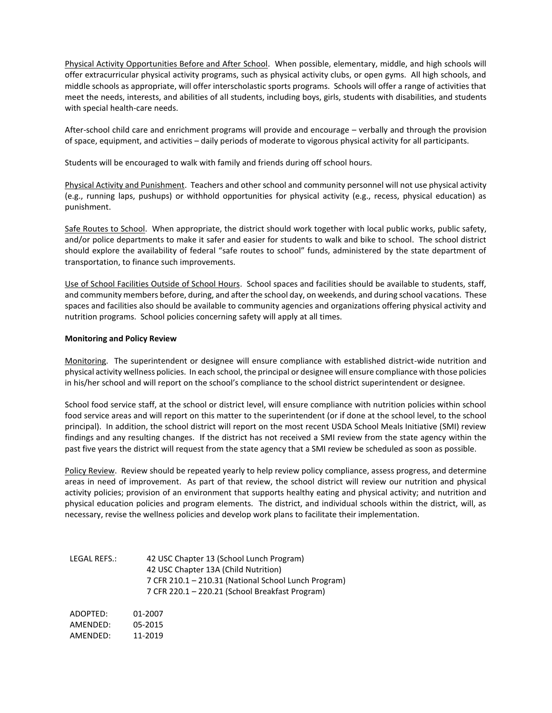Physical Activity Opportunities Before and After School. When possible, elementary, middle, and high schools will offer extracurricular physical activity programs, such as physical activity clubs, or open gyms. All high schools, and middle schools as appropriate, will offer interscholastic sports programs. Schools will offer a range of activities that meet the needs, interests, and abilities of all students, including boys, girls, students with disabilities, and students with special health-care needs.

After-school child care and enrichment programs will provide and encourage – verbally and through the provision of space, equipment, and activities – daily periods of moderate to vigorous physical activity for all participants.

Students will be encouraged to walk with family and friends during off school hours.

Physical Activity and Punishment. Teachers and other school and community personnel will not use physical activity (e.g., running laps, pushups) or withhold opportunities for physical activity (e.g., recess, physical education) as punishment.

Safe Routes to School. When appropriate, the district should work together with local public works, public safety, and/or police departments to make it safer and easier for students to walk and bike to school. The school district should explore the availability of federal "safe routes to school" funds, administered by the state department of transportation, to finance such improvements.

Use of School Facilities Outside of School Hours. School spaces and facilities should be available to students, staff, and community members before, during, and after the school day, on weekends, and during school vacations. These spaces and facilities also should be available to community agencies and organizations offering physical activity and nutrition programs. School policies concerning safety will apply at all times.

#### **Monitoring and Policy Review**

Monitoring. The superintendent or designee will ensure compliance with established district-wide nutrition and physical activity wellness policies. In each school, the principal or designee will ensure compliance with those policies in his/her school and will report on the school's compliance to the school district superintendent or designee.

School food service staff, at the school or district level, will ensure compliance with nutrition policies within school food service areas and will report on this matter to the superintendent (or if done at the school level, to the school principal). In addition, the school district will report on the most recent USDA School Meals Initiative (SMI) review findings and any resulting changes. If the district has not received a SMI review from the state agency within the past five years the district will request from the state agency that a SMI review be scheduled as soon as possible.

Policy Review. Review should be repeated yearly to help review policy compliance, assess progress, and determine areas in need of improvement. As part of that review, the school district will review our nutrition and physical activity policies; provision of an environment that supports healthy eating and physical activity; and nutrition and physical education policies and program elements. The district, and individual schools within the district, will, as necessary, revise the wellness policies and develop work plans to facilitate their implementation.

| LEGAL REFS.: | 42 USC Chapter 13 (School Lunch Program)<br>42 USC Chapter 13A (Child Nutrition)<br>7 CFR 210.1 - 210.31 (National School Lunch Program)<br>7 CFR 220.1 - 220.21 (School Breakfast Program) |
|--------------|---------------------------------------------------------------------------------------------------------------------------------------------------------------------------------------------|
| ADOPTED:     | 01-2007                                                                                                                                                                                     |
| AMFNDFD:     | 05-2015                                                                                                                                                                                     |
| AMENDED:     | 11-2019                                                                                                                                                                                     |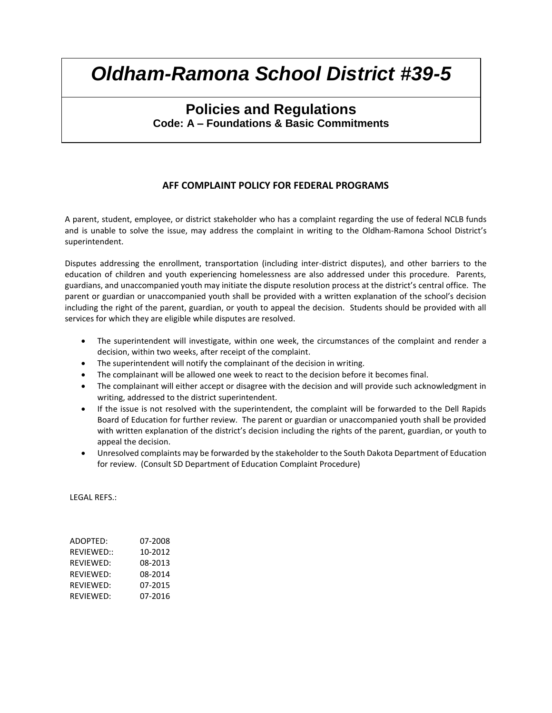## **Policies and Regulations Code: A – Foundations & Basic Commitments**

#### **AFF COMPLAINT POLICY FOR FEDERAL PROGRAMS**

A parent, student, employee, or district stakeholder who has a complaint regarding the use of federal NCLB funds and is unable to solve the issue, may address the complaint in writing to the Oldham-Ramona School District's superintendent.

Disputes addressing the enrollment, transportation (including inter-district disputes), and other barriers to the education of children and youth experiencing homelessness are also addressed under this procedure. Parents, guardians, and unaccompanied youth may initiate the dispute resolution process at the district's central office. The parent or guardian or unaccompanied youth shall be provided with a written explanation of the school's decision including the right of the parent, guardian, or youth to appeal the decision. Students should be provided with all services for which they are eligible while disputes are resolved.

- The superintendent will investigate, within one week, the circumstances of the complaint and render a decision, within two weeks, after receipt of the complaint.
- The superintendent will notify the complainant of the decision in writing.
- The complainant will be allowed one week to react to the decision before it becomes final.
- The complainant will either accept or disagree with the decision and will provide such acknowledgment in writing, addressed to the district superintendent.
- If the issue is not resolved with the superintendent, the complaint will be forwarded to the Dell Rapids Board of Education for further review. The parent or guardian or unaccompanied youth shall be provided with written explanation of the district's decision including the rights of the parent, guardian, or youth to appeal the decision.
- Unresolved complaints may be forwarded by the stakeholder to the South Dakota Department of Education for review. (Consult SD Department of Education Complaint Procedure)

LEGAL REFS.:

| ADOPTED:   | 07-2008 |
|------------|---------|
| REVIEWED:: | 10-2012 |
| REVIEWED:  | 08-2013 |
| REVIEWED:  | 08-2014 |
| REVIEWED:  | 07-2015 |
| REVIEWED:  | 07-2016 |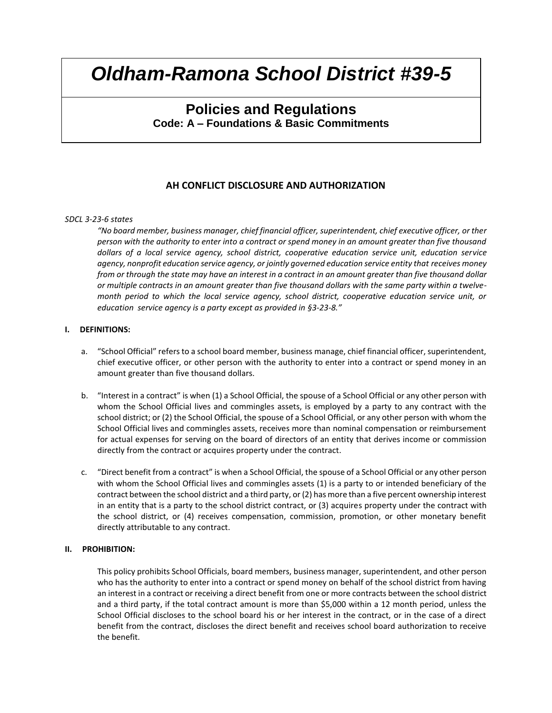## **Policies and Regulations Code: A – Foundations & Basic Commitments**

#### **AH CONFLICT DISCLOSURE AND AUTHORIZATION**

#### *SDCL 3-23-6 states*

*"No board member, business manager, chief financial officer, superintendent, chief executive officer, or ther person with the authority to enter into a contract or spend money in an amount greater than five thousand dollars of a local service agency, school district, cooperative education service unit, education service agency, nonprofit education service agency, or jointly governed education service entity that receives money from or through the state may have an interest in a contract in an amount greater than five thousand dollar or multiple contracts in an amount greater than five thousand dollars with the same party within a twelvemonth period to which the local service agency, school district, cooperative education service unit, or education service agency is a party except as provided in §3-23-8."*

#### **I. DEFINITIONS:**

- a. "School Official" refers to a school board member, business manage, chief financial officer, superintendent, chief executive officer, or other person with the authority to enter into a contract or spend money in an amount greater than five thousand dollars.
- b. "Interest in a contract" is when (1) a School Official, the spouse of a School Official or any other person with whom the School Official lives and commingles assets, is employed by a party to any contract with the school district; or (2) the School Official, the spouse of a School Official, or any other person with whom the School Official lives and commingles assets, receives more than nominal compensation or reimbursement for actual expenses for serving on the board of directors of an entity that derives income or commission directly from the contract or acquires property under the contract.
- c. "Direct benefit from a contract" is when a School Official, the spouse of a School Official or any other person with whom the School Official lives and commingles assets (1) is a party to or intended beneficiary of the contract between the school district and a third party, or (2) has more than a five percent ownership interest in an entity that is a party to the school district contract, or (3) acquires property under the contract with the school district, or (4) receives compensation, commission, promotion, or other monetary benefit directly attributable to any contract.

#### **II. PROHIBITION:**

This policy prohibits School Officials, board members, business manager, superintendent, and other person who has the authority to enter into a contract or spend money on behalf of the school district from having an interest in a contract or receiving a direct benefit from one or more contracts between the school district and a third party, if the total contract amount is more than \$5,000 within a 12 month period, unless the School Official discloses to the school board his or her interest in the contract, or in the case of a direct benefit from the contract, discloses the direct benefit and receives school board authorization to receive the benefit.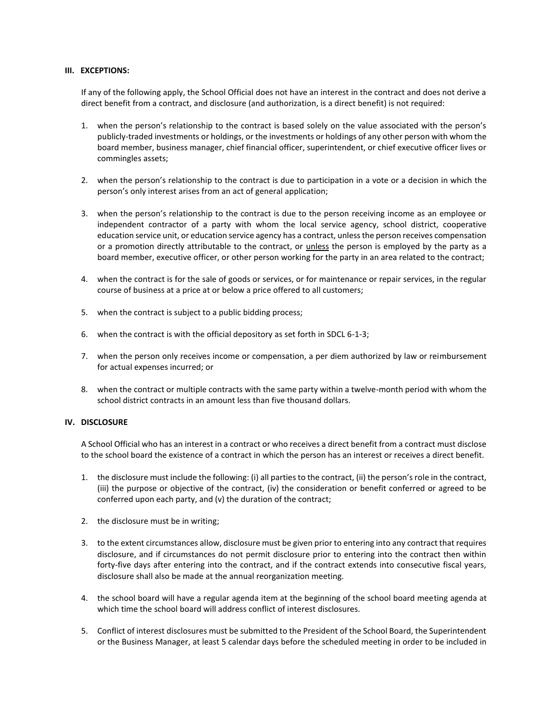#### **III. EXCEPTIONS:**

If any of the following apply, the School Official does not have an interest in the contract and does not derive a direct benefit from a contract, and disclosure (and authorization, is a direct benefit) is not required:

- 1. when the person's relationship to the contract is based solely on the value associated with the person's publicly-traded investments or holdings, or the investments or holdings of any other person with whom the board member, business manager, chief financial officer, superintendent, or chief executive officer lives or commingles assets;
- 2. when the person's relationship to the contract is due to participation in a vote or a decision in which the person's only interest arises from an act of general application;
- 3. when the person's relationship to the contract is due to the person receiving income as an employee or independent contractor of a party with whom the local service agency, school district, cooperative education service unit, or education service agency has a contract, unless the person receives compensation or a promotion directly attributable to the contract, or unless the person is employed by the party as a board member, executive officer, or other person working for the party in an area related to the contract;
- 4. when the contract is for the sale of goods or services, or for maintenance or repair services, in the regular course of business at a price at or below a price offered to all customers;
- 5. when the contract is subject to a public bidding process;
- 6. when the contract is with the official depository as set forth in SDCL 6-1-3;
- 7. when the person only receives income or compensation, a per diem authorized by law or reimbursement for actual expenses incurred; or
- 8. when the contract or multiple contracts with the same party within a twelve-month period with whom the school district contracts in an amount less than five thousand dollars.

#### **IV. DISCLOSURE**

A School Official who has an interest in a contract or who receives a direct benefit from a contract must disclose to the school board the existence of a contract in which the person has an interest or receives a direct benefit.

- 1. the disclosure must include the following: (i) all parties to the contract, (ii) the person's role in the contract, (iii) the purpose or objective of the contract, (iv) the consideration or benefit conferred or agreed to be conferred upon each party, and (v) the duration of the contract;
- 2. the disclosure must be in writing;
- 3. to the extent circumstances allow, disclosure must be given prior to entering into any contract that requires disclosure, and if circumstances do not permit disclosure prior to entering into the contract then within forty-five days after entering into the contract, and if the contract extends into consecutive fiscal years, disclosure shall also be made at the annual reorganization meeting.
- 4. the school board will have a regular agenda item at the beginning of the school board meeting agenda at which time the school board will address conflict of interest disclosures.
- 5. Conflict of interest disclosures must be submitted to the President of the School Board, the Superintendent or the Business Manager, at least 5 calendar days before the scheduled meeting in order to be included in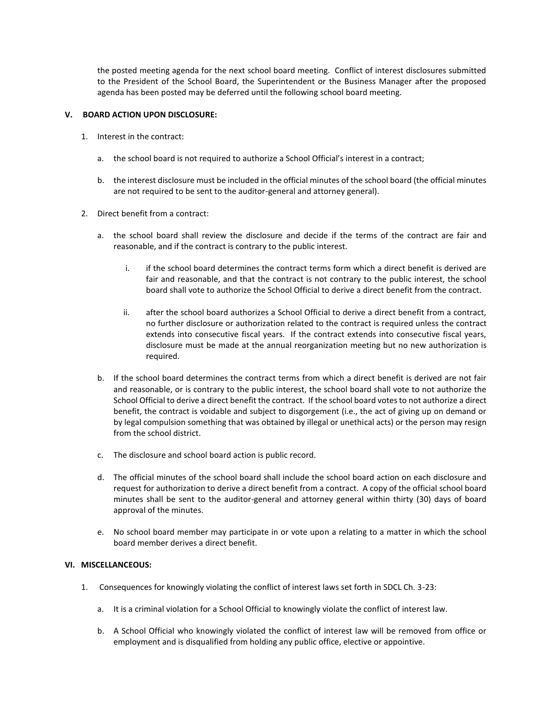the posted meeting agenda for the next school board meeting. Conflict of interest disclosures submitted to the President of the School Board, the Superintendent or the Business Manager after the proposed agenda has been posted may be deferred until the following school board meeting.

#### **V. BOARD ACTION UPON DISCLOSURE:**

- 1. Interest in the contract:
	- a. the school board is not required to authorize a School Official's interest in a contract;
	- b. the interest disclosure must be included in the official minutes of the school board (the official minutes are not required to be sent to the auditor-general and attorney general).
- 2. Direct benefit from a contract:
	- a. the school board shall review the disclosure and decide if the terms of the contract are fair and reasonable, and if the contract is contrary to the public interest.
		- i. if the school board determines the contract terms form which a direct benefit is derived are fair and reasonable, and that the contract is not contrary to the public interest, the school board shall vote to authorize the School Official to derive a direct benefit from the contract.
		- ii. after the school board authorizes a School Official to derive a direct benefit from a contract, no further disclosure or authorization related to the contract is required unless the contract extends into consecutive fiscal years. If the contract extends into consecutive fiscal years, disclosure must be made at the annual reorganization meeting but no new authorization is required.
	- b. If the school board determines the contract terms from which a direct benefit is derived are not fair and reasonable, or is contrary to the public interest, the school board shall vote to not authorize the School Official to derive a direct benefit the contract. If the school board votes to not authorize a direct benefit, the contract is voidable and subject to disgorgement (i.e., the act of giving up on demand or by legal compulsion something that was obtained by illegal or unethical acts) or the person may resign from the school district.
	- c. The disclosure and school board action is public record.
	- d. The official minutes of the school board shall include the school board action on each disclosure and request for authorization to derive a direct benefit from a contract. A copy of the official school board minutes shall be sent to the auditor-general and attorney general within thirty (30) days of board approval of the minutes.
	- e. No school board member may participate in or vote upon a relating to a matter in which the school board member derives a direct benefit.

#### **VI. MISCELLANCEOUS:**

- 1. Consequences for knowingly violating the conflict of interest laws set forth in SDCL Ch. 3-23:
	- a. It is a criminal violation for a School Official to knowingly violate the conflict of interest law.
	- b. A School Official who knowingly violated the conflict of interest law will be removed from office or employment and is disqualified from holding any public office, elective or appointive.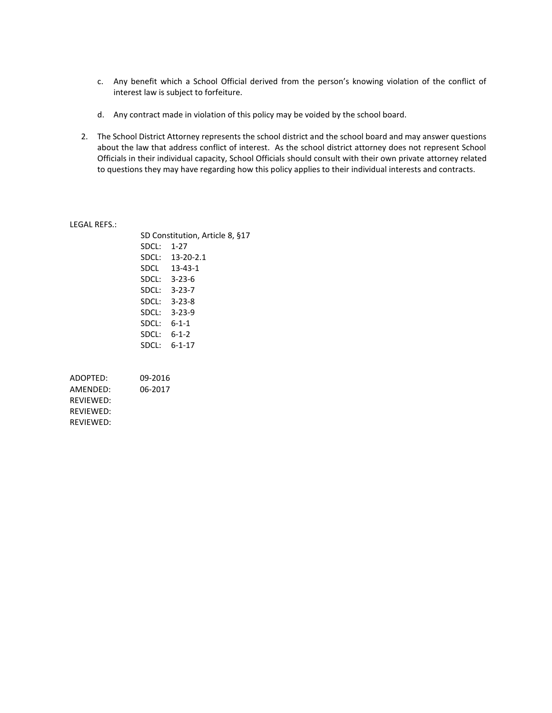- c. Any benefit which a School Official derived from the person's knowing violation of the conflict of interest law is subject to forfeiture.
- d. Any contract made in violation of this policy may be voided by the school board.
- 2. The School District Attorney represents the school district and the school board and may answer questions about the law that address conflict of interest. As the school district attorney does not represent School Officials in their individual capacity, School Officials should consult with their own private attorney related to questions they may have regarding how this policy applies to their individual interests and contracts.

#### LEGAL REFS.:

REVIEWED:

|                  |         | SD Constitution, Article 8, §17 |  |
|------------------|---------|---------------------------------|--|
|                  | SDCL:   | $1 - 27$                        |  |
|                  |         | SDCL: 13-20-2.1                 |  |
|                  |         | SDCL 13-43-1                    |  |
|                  |         | SDCL: 3-23-6                    |  |
|                  |         | SDCL: 3-23-7                    |  |
|                  |         | SDCL: 3-23-8                    |  |
|                  |         | SDCL: 3-23-9                    |  |
|                  |         | SDCL: 6-1-1                     |  |
|                  |         | $SDCL: 6-1-2$                   |  |
|                  |         | $SDCL: 6-1-17$                  |  |
|                  |         |                                 |  |
| ADOPTED:         | 09-2016 |                                 |  |
| AMENDED:         | 06-2017 |                                 |  |
| REVIEWED:        |         |                                 |  |
| <b>REVIEWED:</b> |         |                                 |  |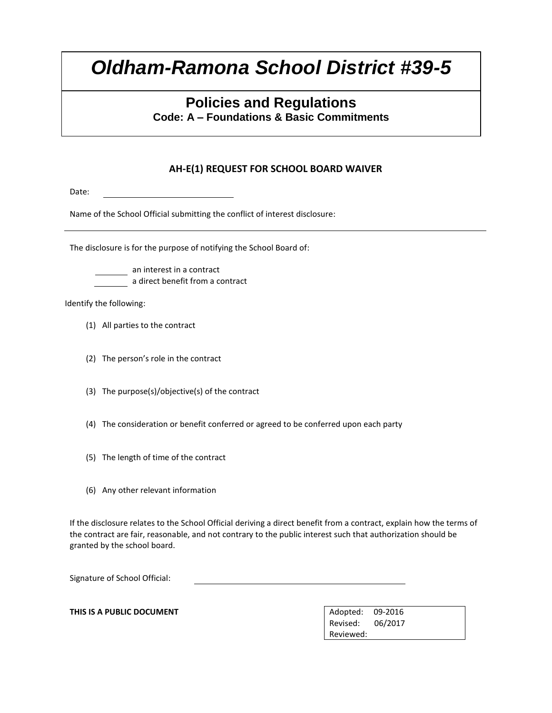## **Policies and Regulations**

**Code: A – Foundations & Basic Commitments**

### **AH-E(1) REQUEST FOR SCHOOL BOARD WAIVER**

Date:

Name of the School Official submitting the conflict of interest disclosure:

The disclosure is for the purpose of notifying the School Board of:

an interest in a contract a direct benefit from a contract

Identify the following:

- (1) All parties to the contract
- (2) The person's role in the contract
- (3) The purpose(s)/objective(s) of the contract
- (4) The consideration or benefit conferred or agreed to be conferred upon each party
- (5) The length of time of the contract
- (6) Any other relevant information

If the disclosure relates to the School Official deriving a direct benefit from a contract, explain how the terms of the contract are fair, reasonable, and not contrary to the public interest such that authorization should be granted by the school board.

Signature of School Official:

**THIS IS A PUBLIC DOCUMENT** And **Adopted:** 09-2016

Revised: 06/2017 Reviewed: